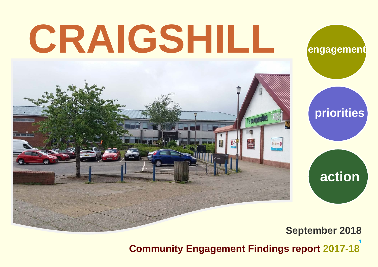# **CRAIGSHILL**





## **September 2018**

**1 Community Engagement Findings report 2017-18**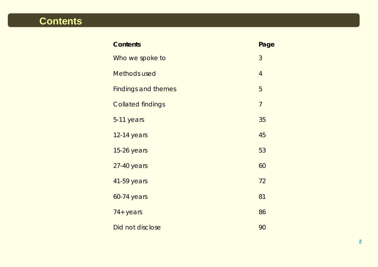# **Contents**

| <b>Contents</b>            | Page           |
|----------------------------|----------------|
| Who we spoke to            | 3              |
| <b>Methods used</b>        | $\overline{4}$ |
| <b>Findings and themes</b> | 5              |
| <b>Collated findings</b>   | $\overline{7}$ |
| 5-11 years                 | 35             |
| 12-14 years                | 45             |
| 15-26 years                | 53             |
| 27-40 years                | 60             |
| 41-59 years                | 72             |
| <b>60-74 years</b>         | 81             |
| 74+ years                  | 86             |
| Did not disclose           | 90             |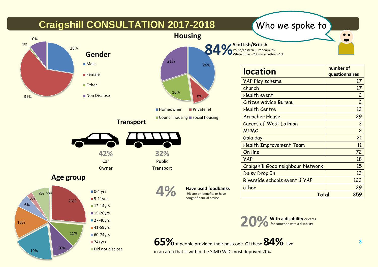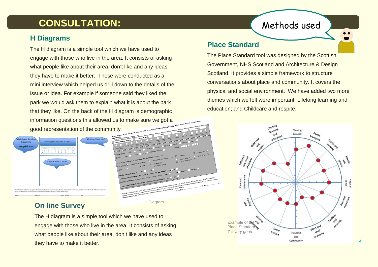# **CONSULTATION:** Methods used

## **H Diagrams**

The H diagram is a simple tool which we have used to engage with those who live in the area. It consists of asking what people like about their area, don't like and any ideas they have to make it better. These were conducted as a mini interview which helped us drill down to the details of the issue or idea. For example if someone said they liked the park we would ask them to explain what it is about the park that they like. On the back of the H diagram is demographic information questions this allowed us to make sure we got a good representation of the community



## **On line Survey**

The H diagram is a simple tool which we have used to engage with those who live in the area. It consists of asking what people like about their area, don't like and any ideas they have to make it better.

H Diagram

## **Place Standard**

The Place Standard tool was designed by the Scottish Government, NHS Scotland and Architecture & Design Scotland. It provides a simple framework to structure conversations about place and community. It covers the physical and social environment. We have added two more themes which we felt were important: Lifelong learning and education; and Childcare and respite.



**4**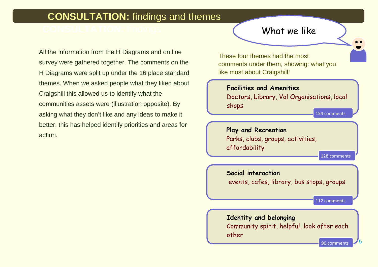## **CONSULTATION:** findings and themes

All the information from the H Diagrams and on line survey were gathered together. The comments on the H Diagrams were split up under the 16 place standard themes. When we asked people what they liked about Craigshill this allowed us to identify what the communities assets were (illustration opposite). By asking what they don't like and any ideas to make it better, this has helped identify priorities and areas for action.

## What we like

These four themes had the most comments under them, showing: what you like most about Craigshill!

**Facilities and Amenities** Doctors, Library, Vol Organisations, local shops 154 comments

**Play and Recreation** Parks, clubs, groups, activities, affordability

**Social interaction** events, cafes, library, bus stops, groups

112 comments

128 comments

## **Identity and belonging** Community spirit, helpful, look after each other

**5**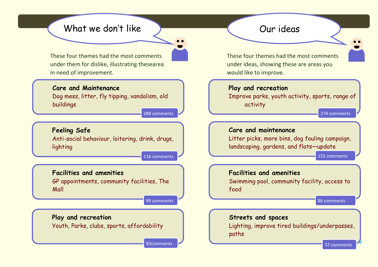## What we don't like a controller courrideas

These four themes had the most comments under them for dislike, illustrating thesearea in need of improvement.

#### **Care and Maintenance**

Dog mess, litter, fly tipping, vandalism, old buildings

288 comments

## **Feeling Safe**

Anti-social behaviour, loitering, drink, drugs, lighting

116 comments

#### **Facilities and amenities**

GP appointments, community facilities, The Mall

99 comments

## **Play and recreation**

Youth, Parks, clubs, sports, affordability

83comments

These four themes had the most comments under ideas, showing these are areas you would like to improve.

#### **Play and recreation**

Improve parks, youth activity, sports, range of activity

#### **Care and maintenance**

Litter picks, more bins, dog fouling campaign, landscaping, gardens, and flats—update

155 comments

274 comments

## **Facilities and amenities** Swimming pool, community facility, access to food

86 comments

# **Streets and spaces**

Lighting, improve tired buildings/underpasses, paths

37 comments

**6**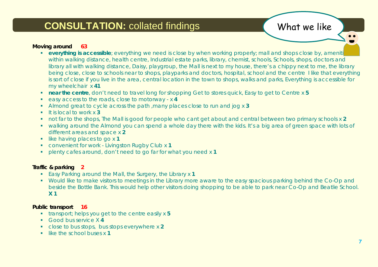## **CONSULTATION:** collated findings What we like

#### **Moving around 63**

- **everything is accessible**; everything we need is close by when working properly; mall and shops close by, ameniti within walking distance, health centre, Industrial estate parks, library, chemist, schools, Schools, shops, doctors and library all with walking distance, Daisy, playgroup, the Mall is next to my house, there's a chippy next to me, the library being close, close to schools near to shops, playparks and doctors, hospital, school and the centre I like that everything is sort of close if you live in the area, central location in the town to shops, walks and parks, Everything is accessible for my wheelchair x **41**
- **near the centre**, don't need to travel long for shopping Get to stores quick, Easy to get to Centre x **5**
- easy access to the roads, close to motorway x **4**
- Almond great to cycle across the path ,many places close to run and jog x **3**
- It is local to work x **3**
- not far to the shops, The Mall is good for people who cant get about and central between two primary schools x **2**
- walking around the Almond you can spend a whole day there with the kids. It's a big area of green space with lots of different areas and space x **2**
- **I** like having places to go x 1
- convenient for work Livingston Rugby Club x **1**
- plenty cafes around, don't need to go far for what you need x **1**

#### **Traffic & parking 2**

- Easy Parking around the Mall, the Surgery, the Library x **1**
- Would like to make visitors to meetings in the Library more aware to the easy spacious parking behind the Co-Op and beside the Bottle Bank. This would help other visitors doing shopping to be able to park near Co-Op and Beatlie School. **X 1**

#### **Public transport 16**

- transport; helps you get to the centre easily x **5**
- Good bus service X **4**
- close to bus stops, bus stops everywhere x **2**
- **like the school buses x 1**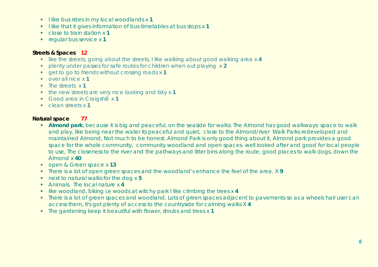- I like bus rides in my local woodlands x 1
- I like that it gives information of bus timetables at bus stops x 1
- close to train station x **1**
- **regular bus service x 1**

#### **Streets & Spaces 12**

- like the streets, going about the streets, I like walking about good walking area x **4**
- plenty under passes for safe routes for children when out playing x **2**
- get to go to friends without crossing roads x **1**
- over all nice x **1**
- **The streets x 1**
- **the new streets are very nice looking and tidy x 1**
- Good area in Craigshill x **1**
- clean streets x **1**

#### **Natural space 77**

- **Almond park**, because it is big and peaceful, on the seaside for walks: The Almond has good walkways: space to walk and play, like being near the water its peaceful and quiet, close to the Almond/river Walk Parks redeveloped and maintained Almond, Not much to be honest. Almond Park is only good thing about it, Almond park provides a good space for the whole community, community woodland and open spaces- well looked after and good for local people to use, The closeness to the river and the pathways and litter bins along the route, good places to walk dogs, down the Almond x **40**
- open & Green space x **13**
- There is a lot of open green spaces and the woodland's enhance the feel of the area. X **9**
- next to natural walks for the dog x **5**
- Animals, The local nature x **4**
- like woodland, biking i.e woods at witchy park I like climbing the trees x **4**
- There is a lot of green spaces and woodland. Lots of green spaces adjacent to pavements so as a wheelchair user can access them, It's got plenty of access to the countryside for calming walks X **4**
- The gardening keep it beautiful with flower, shrubs and trees x **1**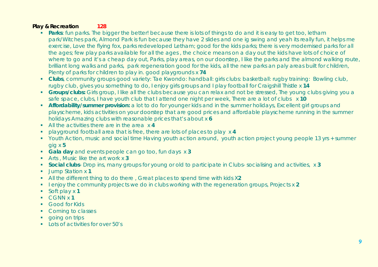#### **Play & Recreation 128**

- **Parks**: fun parks. The bigger the better! because there is lots of things to do and it is easy to get too, letham park/Witches park, Almond Park is fun because they have 2 slides and one ig swing and yeah its really fun, it helps me exercise, Love the flying fox, parks redeveloped Letham; good for the kids parks; there is very modernised parks for all the ages; few play parks available for all the ages , the choice means on a day out the kids have lots of choice of where to go and it's a cheap day out, Parks, play areas, on our doorstep, I like the parks and the almond walking route, brilliant long walks and parks, park regeneration good for the kids, all the new parks an paly areas built for children, Plenty of parks for children to play in. good playgrounds x **74**
- **Clubs**, community groups good variety: Tae Kwondo: handball: girls clubs: basketball: rugby training: Bowling club, rugby club, gives you something to do, I enjoy girls groups and I play football for Craigshill Thistle x **14**
- **Groups/clubs:** Girls group, I like all the clubs because you can relax and not be stressed, The young clubs giving you a safe space, clubs, I have youth club that I attend one night per week, There are a lot of clubs x **10**
- **Affordability/summer provision:** a lot to do for younger kids and in the summer holidays, Excellent girl groups and playscheme, kids activities on your doorstep that are good prices and affordable playscheme running in the summer holidays Amazing clubs with reasonable prices that's about x **6**
- All the activities there are in the area x **4**
- playground football area that is free, there are lots of places to play x **4**
- Youth Action, music and social time Having youth action around, youth action project young people 13 yrs + summer gig x **5**
- **Gala day** and events people can go too, fun days x **3**
- Arts , Music like the art work x **3**
- **Social clubs** Drop ins, many groups for young or old to participate in Clubs- socialising and activities, x **3**
- Jump Station x **1**
- All the different thing to do there , Great places to spend time with kids X**2**
- **I** lenjoy the community projects we do in clubs working with the regeneration groups, Projects x 2
- Soft play x **1**
- CGNN x **1**
- **Good for Kids**
- Coming to classes
- **qoing on trips**
- $\blacksquare$  Lots of activities for over 50's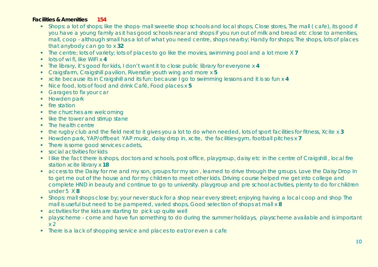#### **Facilities & Amenities 154**

- Shops: a lot of shops; like the shops- mall sweetie shop schools and local shops, Close stores, The mall (cafe), its good if you have a young family as it has good schools near and shops if you run out of milk and bread etc close to amenities, mall, coop - although small has a lot of what you need centre, shops nearby; Handy for shops; The shops, lots of places that anybody can go to x **32**
- The centre; lots of variety; lots of places to go like the movies, swimming pool and a lot more X **7**
- lots of wi fi, like WiFi x **4**
- The library, it's good for kids, I don't want it to close public library for everyone x **4**
- Craigsfarm, Craigshill pavilion, Riversdie youth wing and more x **5**
- xcite because its in Craigshill and its fun: because I go to swimming lessons and it is so fun x **4**
- Nice food, lots of food and drink Café, Food places x **5**
- **Garages to fix your car**
- Howden park
- $\blacksquare$  fire station
- the churches are welcoming
- $\blacksquare$  like the tower and stirrup stane
- The health centre
- the rugby club and the field next to it gives you a lot to do when needed, lots of sport facilities for fitness, Xcite x **3**
- Howden park, YAP/offbeat YAP music, daisy drop in, xcite, the facilities-gym, football pitches x 7
- There is some good services cadets,
- **social activities for kids**
- I like the fact there is shops, doctors and schools, post office, playgroup, daisy etc in the centre of Craigshill, local fire station xcite library x **18**
- **access to the Daisy for me and my son, groups for my son, learned to drive through the groups. Love the Daisy Drop In** to get me out of the house and for my children to meet other kids. Driving course helped me get into college and complete HND in beauty and continue to go to university. playgroup and pre school activities, plenty to do for children under 5 X **8**
- **Shops: mall shops close by; your never stuck for a shop near every street; enjoying having a local coop and shop The** mall is useful but need to be pampered, varied shops, Good selection of shops at mall x **8**
- activities for the kids are starting to pick up quite well
- playscheme come and have fun something to do during the summer holidays, playscheme available and is important  $x<sub>2</sub>$
- There is a lack of shopping service and places to eat/or even a cafe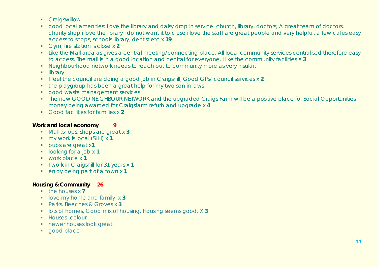- **Craigswillow**
- **qood local amenities: Love the library and daisy drop in service, church, library, doctors; A great team of doctors,** charity shop i love the library i do not want it to close i love the staff are great people and very helpful, a few cafes easy access to shops, schools library, dentist etc x **19**
- Gym, fire station is close x **2**
- **EXTENDING THE Mail area as gives a central meeting/connecting place. All local community services centralised therefore easy** to access. The mall is in a good location and central for everyone. I like the community facilities X **3**
- Neighbourhood network needs to reach out to community more as very insular.
- **-** library
- I feel the council are doing a good job in Craigshill, Good GPs/ council services x 2
- the playgroup has been a great help for my two son in laws
- **good waste management services**
- The new GOOD NEIGHBOUR NETWORK and the upgraded Craigs Farm will be a positive place for Social Opportunities, money being awarded for Craigsfarm refurb and upgrade x **4**
- Good facilities for families x **2**

#### **Work and local economy 9**

- Mall ,shops, shops are great x **3**
- my work is local (SJH) x **1**
- **pubs are great x1**
- $\blacksquare$  looking for a job x 1
- work place x **1**
- **I** l work in Craigshill for 31 years x 1
- enjoy being part of a town x **1**

#### **Housing & Community 26**

- **the houses x 7**
- **-** love my home and family x 3
- Parks. Beeches & Groves x **3**
- **IDEN FINDS** IDES OF homes, Good mix of housing, Housing seems good. X 3
- **Houses** -colour
- **newer houses look great,**
- **good place**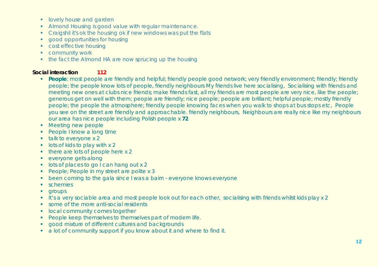- **I** lovely house and garden
- Almond Housing is good value with regular maintenance.
- Craigshil it's ok the housing ok if new windows was put the flats
- **qood opportunities for housing**
- **Cost effective housing**
- **•** community work
- the fact the Almond HA are now sprucing up the housing

#### **Social interaction 112**

- **People**: most people are friendly and helpful; friendly people good network; very friendly environment; friendly; friendly people; the people know lots of people, friendly neighbours My friends live here socialising, Socialising with friends and meeting new ones at clubs nice friends; make friends fast, all my friends are most people are very nice, like the people; generous get on well with them; people are friendly; nice people; people are brilliant; helpful people; mostly friendly people; the people the atmosphere; friendly people knowing faces when you walk to shops at bus stops etc, People you see on the street are friendly and approachable. friendly neighbours, Neighbours are really nice like my neighbours our area has nice people including Polish people x **72**
- **Meeting new people**
- **People I know a long time**
- $\blacksquare$  talk to everyone x 2
- $\blacksquare$  lots of kids to play with x 2
- $\blacksquare$  there are lots of people here x 2
- **exervone gets along**
- **lots of places to go I can hang out x 2**
- People; People in my street are polite x 3
- been coming to the gala since I was a bairn everyone knows everyone
- **schemies**
- **qroups**
- It's a very sociable area and most people look out for each other, socialising with friends whilst kids play x 2
- some of the more anti-social residents
- **In local community comes together**
- **People keep themselves to themselves part of modern life.**
- **good mixture of different cultures and backgrounds**
- a lot of community support if you know about it and where to find it.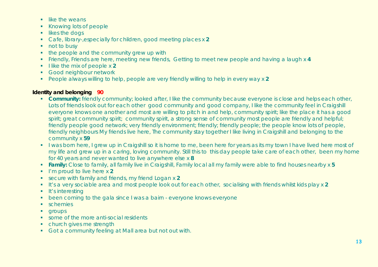- $\blacksquare$  like the weans
- Knowing lots of people
- **I** likes the dogs
- Cafe, library-,especially for children, good meeting places x **2**
- not to busy
- $\bullet$  the people and the community grew up with
- Friendly, Friends are here, meeting new friends, Getting to meet new people and having a laugh x **4**
- **I** like the mix of people x 2
- **Good neighbour network**
- People always willing to help, people are very friendly willing to help in every way x **2**

#### **Identity and belonging 90**

- **Community:** friendly community; looked after, I like the community because everyone is close and helps each other, Lots of friends look out for each other good community and good company, I like the community feel in Craigshill everyone knows one another and most are willing to pitch in and help, community spirit; like the place it has a good spirit; great community spirit; community spirit, a strong sense of community most people are friendly and helpful; friendly people good network; very friendly environment; friendly; friendly people; the people know lots of people, friendly neighbours My friends live here, The community stay together I like living in Craigshill and belonging to the community x **59**
- I was born here, I grew up in Craigshill so it is home to me, been here for years as its my town I have lived here most of my life and grew up in a caring, loving community. Still this to this day people take care of each other, been my home for 40 years and never wanted to live anywhere else x **8**
- **Family:** Close to family, all family live in Craigshill, Family local all my family were able to find houses nearby x **5**
- **I'm proud to live here x 2**
- secure with family and friends, my friend Logan x **2**
- It's a very sociable area and most people look out for each other, socialising with friends whilst kids play x **2**
- $\blacksquare$  It's interesting
- been coming to the gala since I was a bairn everyone knows everyone
- **schemies**
- **qroups**
- some of the more anti-social residents
- church gives me strength
- Got a community feeling at Mall area but not out with.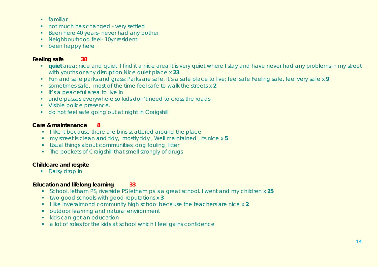- **familiar**
- not much has changed very settled
- Been here 40 years- never had any bother
- **Neighbourhood feel- 10yr resident**
- **•** been happy here

#### **Feeling safe 38**

- **quiet** area; nice and quiet I find it a nice area It is very quiet where I stay and have never had any problems in my street with youths or any disruption Nice quiet place x **23**
- Fun and safe parks and grass; Parks are safe, It's a safe place to live; feel safe Feeling safe, feel very safe x **9**
- sometimes safe, most of the time feel safe to walk the streets x **2**
- **If's a peaceful area to live in**
- underpasses everywhere so kids don't need to cross the roads
- **Visible police presence.**
- do not feel safe going out at night in Craigshill

#### **Care & maintenance 8**

- I like it because there are bins scattered around the place
- my street is clean and tidy, mostly tidy , Well maintained , its nice x **5**
- Usual things about communities, dog fouling, litter
- The pockets of Craigshill that smell strongly of drugs

#### **Childcare and respite**

• Daisy drop in

#### **Education and lifelong learning 33**

- School, letham PS, riverside PS letham ps is a great school. I went and my children x **25**
- two good schools with good reputations x **3**
- I like Inveralmond community high school because the teachers are nice x 2
- **•** outdoor learning and natural environment
- kids can get an education
- a lot of roles for the kids at school which I feel gains confidence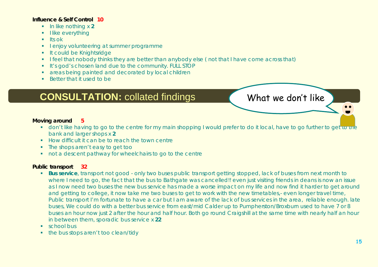#### **Influence & Self Control 10**

- **In like nothing x 2**
- $\blacksquare$  like everything
- $\blacksquare$  Its ok
- I enjoy volunteering at summer programme
- **It could be Knightsridge**
- I feel that nobody thinks they are better than anybody else (not that I have come across that)
- It's god's chosen land due to the community. FULL STOP
- areas being painted and decorated by local children
- Better that it used to be

## **CONSULTATION:** collated findings What we don't like

#### **Moving around 5**

- **don't like having to go to the centre for my main shopping I would prefer to do it local, have to go further to get to the** bank and larger shops x **2**
- **How difficult it can be to reach the town centre**
- The shops aren't easy to get too
- not a descent pathway for wheelchairs to go to the centre

#### **Public transport 32**

- **Bus service**, transport not good only two buses public transport getting stopped, lack of buses from next month to where I need to go, the fact that the bus to Bathgate was cancelled!! even just visiting friends in deans is now an issue as I now need two buses the new bus service has made a worse impact on my life and now find it harder to get around and getting to college, it now take me two buses to get to work with the new timetables,- even longer travel time, Public transport I'm fortunate to have a car but I am aware of the lack of bus services in the area, reliable enough. late buses, We could do with a better bus service from east/mid Calder up to Pumpherston/Broxburn used to have 7 or 8 buses an hour now just 2 after the hour and half hour. Both go round Craigshill at the same time with nearly half an hour in between them, sporadic bus service x **22**
- **School bus**
- the bus stops aren't too clean/tidy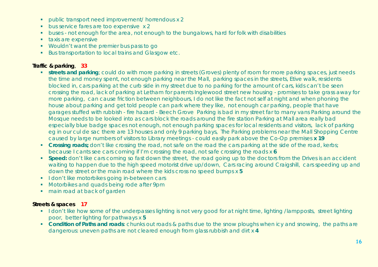- public transport need improvement/ horrendous x 2
- **bus service fares are too expensive x 2**
- **buses not enough for the area, not enough to the bungalows, hard for folk with disabilities**
- **taxis are expensive**
- Wouldn't want the premier bus pass to go
- Bus transportation to local trains and Glasgow etc.

#### **Traffic & parking**, **33**

- **streets and parking**; could do with more parking in streets (Groves) plenty of room for more parking spaces, just needs the time and money spent, not enough parking near the Mall, parking spaces in the streets, Etive walk, residents blocked in, cars parking at the curb side in my street due to no parking for the amount of cars, kids can't be seen crossing the road, lack of parking at Letham for parents Inglewood street new housing - promises to take grass away for more parking, can cause friction between neighbours, I do not like the fact not self at night and when phoning the house about parking and get told people can park where they like, not enough car parking, people that have garages stuffed with rubbish - fire hazard - Beech Grove Parking is bad in my street far to many vans Parking around the Mosque needs to be looked into as cars block the roads around the fire station Parking at Mall area really bad especially blue badge spaces not enough, not enough parking spaces for local residents and visitors, lack of parking eg in our cul de sac there are 13 houses and only 9 parking bays, The Parking problems near the Mall Shopping Centre caused by large numbers of visitors to Library meetings - could easily park above the Co-Op premises **x 19**
- **Crossing roads**; don't like crossing the road, not safe on the road the cars parking at the side of the road, kerbs; because I cants see cars coming if I'm crossing the road, not safe crossing the roads x **6**
- **Speed:** don't like cars coming so fast down the street, the road going up to the doctors from the Drives is an accident waiting to happen due to the high speed motorist drive up/down, Cars racing around Craigshill, cars speeding up and down the street or the main road where the kids cross no speed bumps x **5**
- **I don't like motorbikes going in-between cars**
- **Motorbikes and quads being rode after 9pm**
- main road at back of garden

#### **Streets & spaces 17**

- I don't like how some of the underpasses lighting is not very good for at night time, lighting /lampposts, street lighting poor, better lighting for pathways x **5**
- **Condition of Paths and roads**: chunks out roads & paths due to the snow ploughs when icy and snowing, the paths are dangerous: uneven paths are not cleared enough from glass rubbish and dirt x **4**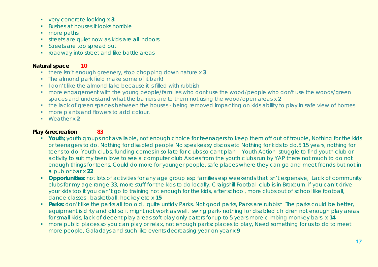- very concrete looking x **3**
- **Bushes at houses it looks horrible**
- more paths
- **streets are quiet now as kids are all indoors**
- **Streets are too spread out**
- **•** roadway into street and like battle areas

#### **Natural space 10**

- there isn't enough greenery, stop chopping down nature x **3**
- The almond park field make some of it bark!
- I don't like the almond lake because it is filled with rubbish
- **•** more engagement with the young people/families who dont use the wood/people who don't use the woods/green spaces and understand what the barriers are to them not using the wood/open areas x **2**
- the lack of green spaces between the houses being removed impacting on kids ability to play in safe view of homes
- **nore plants and flowers to add colour.**
- Weather x **2**

#### **Play & recreation 83**

- **Youth**; youth groups not available, not enough choice for teenagers to keep them off out of trouble, Nothing for the kids or teenagers to do. Nothing for disabled people No speakeasy discos etc Nothing for kids to do.5 15 years, nothing for teens to do, Youth clubs, funding comes in so late for clubs so cant plan - Youth Action struggle to find youth club or activity to suit my teen love to see a computer club Asides from the youth clubs run by YAP there not much to do not enough things for teens, Could do more for younger people, safe places where they can go and meet friends but not in a pub or bar x **22**
- **Opportunities:** not lots of activities for any age group esp families esp weekends that isn't expensive, Lack of community clubs for my age range 33, more stuff for the kids to do locally, Craigshill Football club is in Broxburn, if you can't drive your kids too it you can't go to training not enough for the kids, after school, more clubs out of school like football, dance classes , basketball, hockey etc x **15**
- **Parks:** don't like the parks all too old, quite untidy Parks, Not good parks, Parks are rubbish The parks could be better, equipment is dirty and old so it might not work as well, swing park- nothing for disabled children not enough play areas for small kids, lack of decent play areas soft play only caters for up to 5 years more climbing monkey bars x **14**
- **nore public places so you can play or relax, not enough parks: places to play, Need something for us to do to meet** more people, Galadays and such like events decreasing year on year x **9**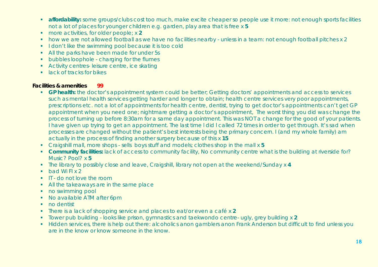- **affordability:** some groups/clubs cost too much, make excite cheaper so people use it more: not enough sports facilities not a lot of places for younger children e.g. garden, play area that is free x **5**
- more activities, for older people; x **2**
- how we are not allowed football as we have no facilities nearby unless in a team: not enough football pitches x 2
- I don't like the swimming pool because it is too cold
- All the parks have been made for under 5s
- **•** bubbles loophole charging for the flumes
- **Activity centres-leisure centre, ice skating**
- **I** lack of tracks for bikes

#### **Facilities & amenities 99**

- **GP health:** the doctor's appointment system could be better; Getting doctors' appointments and access to services such as mental health services getting harder and longer to obtain; health centre services very poor appointments, prescriptions etc. not a lot of appointments for health centre, dentist, trying to get doctor's appointments can't get GP appointment when you need one; nightmare getting a doctor's appointment, The worst thing you did was change the process of turning up before 8:30am for a same day appointment. This was NOT a change for the good of your patients. I have given up trying to get an appointment. The last time l did l called 72 times in order to get through. It's sad when processes are changed without the patient's best interests being the primary concern. I (and my whole family) am actually in the process of finding another surgery because of this x **15**
- Craigshill mall, more shops sells boys stuff and models; clothes shop in the mall x **5**
- **Community facilities:** lack of access to community facility, No community centre what is the building at riverside for? Music? Pool? x **5**
- The library to possibly close and leave, Craigshill, library not open at the weekend/Sunday x **4**
- $\bullet$  bad Wi FI x 2
- IT do not love the room
- All the takeaways are in the same place
- no swimming pool
- No available ATM after 6pm
- no dentist
- There is a lack of shopping service and places to eat/or even a café x **2**
- Tower pub building looks like prison, gymnastics and taekwondo centre- ugly, grey building x **2**
- Hidden services, there is help out there: alcoholics anon gamblers anon Frank Anderson but difficult to find unless you are in the know or know someone in the know.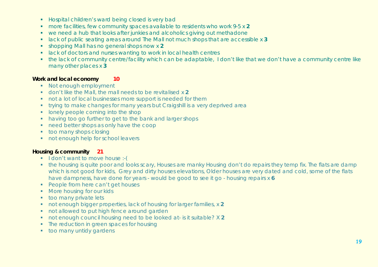- **Hospital children's ward being closed is very bad**
- more facilities, few community spaces available to residents who work 9-5 x **2**
- we need a hub that looks after junkies and alcoholics giving out methadone
- lack of public seating areas around The Mall not much shops that are accessible x **3**
- shopping Mall has no general shops now x **2**
- **lack of doctors and nurses wanting to work in local health centres**
- the lack of community centre/facility which can be adaptable, I don't like that we don't have a community centre like many other places x **3**

#### **Work and local economy 10**

- Not enough employment
- don't like the Mall, the mall needs to be revitalised x **2**
- not a lot of local businesses more support is needed for them
- **trying to make changes for many years but Craigshill is a very deprived area**
- **I** lonely people coming into the shop
- having too go further to get to the bank and larger shops
- need better shops as only have the coop
- **too many shops closing**
- not enough help for school leavers

#### **Housing & community 21**

- $\blacksquare$  I don't want to move house :-(
- the housing is quite poor and looks scary, Houses are manky Housing don't do repairs they temp fix. The flats are damp which is not good for kids, Grey and dirty houses elevations, Older houses are very dated and cold, some of the flats have dampness, have done for years - would be good to see it go - housing repairs x **6**
- **People from here can't get houses**
- **More housing for our kids**
- **too many private lets**
- not enough bigger properties, lack of housing for larger families, x 2
- not allowed to put high fence around garden
- not enough council housing need to be looked at- is it suitable? X 2
- The reduction in green spaces for housing
- **too many untidy gardens**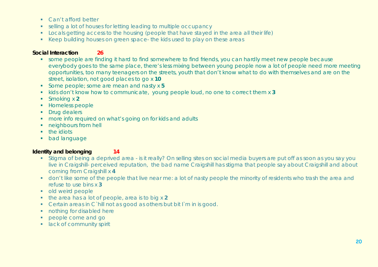- Can't afford better
- selling a lot of houses for letting leading to multiple occupancy
- Locals getting access to the housing (people that have stayed in the area all their life)
- Keep building houses on green space- the kids used to play on these areas

#### **Social Interaction 26**

- some people are finding it hard to find somewhere to find friends, you can hardly meet new people because everybody goes to the same place, there's less mixing between young people now a lot of people need more meeting opportunities, too many teenagers on the streets, youth that don't know what to do with themselves and are on the street, isolation, not good places to go x **10**
- Some people; some are mean and nasty x **5**
- **Kids don't know how to communicate, young people loud, no one to correct them x 3**
- Smoking x **2**
- **Homeless people**
- **Drug dealers**
- **•** more info required on what's going on for kids and adults
- **neighbours from hell**
- $\blacksquare$  the idiots
- **•** bad language

#### **Identity and belonging 14**

- Stigma of being a deprived area is it really? On selling sites on social media buyers are put off as soon as you say you live in Craigshill- perceived reputation, the bad name Craigshill has stigma that people say about Craigshill and about coming from Craigshill x **4**
- don't like some of the people that live near me: a lot of nasty people the minority of residents who trash the area and refuse to use bins x **3**
- **•** old weird people
- the area has a lot of people, area is to big x **2**
- Certain areas in C`hill not as good as others but bit I`m in is good.
- **nothing for disabled here**
- **people come and go**
- **I** lack of community spirit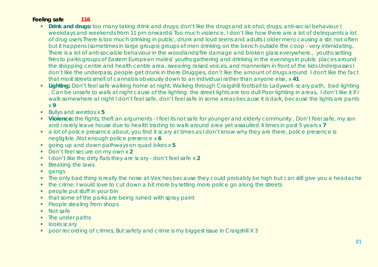#### **Feeling safe 116**

- **Drink and drugs:** too many taking drink and drugs; don't like the drugs and alcohol; drugs; anti-social behaviour ( weekdays and weekends from 11 pm onwards) Too much violence, I don't like how there are a lot of delinquents a lot of drug users There is too much drinking in public, drunk and loud teens and adults ( older men) causing a stir, not often but it happens (sometimes in large groups) groups of men drinking on the bench outside the coop - very intimidating, There is a lot of anti-sociable behaviour in the woodlands/fire damage and broken glass everywhere., youths setting fires to parks groups of Eastern European males/ youths gathering and drinking in the evenings in public places around the shopping centre and health centre area. swearing raised voices, and mannerism in front of the kids Underpasses I don't like the underpass, people get drunk in there Druggies, don't like the amount of drugs around I don't like the fact that most streets smell of cannabis obviously down to an individual rather than anyone else, x **41**
- **Lighting**; Don't feel safe walking home at night, Walking through Craigshill football to Ladywell- scary path, bad lighting , Can be unsafe to walk at night cause of the lighting the street lights are too dull Poor lighting in areas, I don't like it if I walk somewhere at night I don't feel safe, don't feel safe in some areas because it is dark, because the lights are pants x **9**
- Bullys and weirdos x **5**
- **Violence:** the fights, theft an arguments I feel its not safe for younger and elderly community, Don't feel safe, my son and i rarely leave house due to health trading to walk around area yet assaulted 4 times in past 5 years x **7**
- a lot of police presence about, you find it scary at times as I don't know why they are there, police presence is negligible ,Not enough police presence x **6**
- going up and down pathways on quad bikes x **5**
- **Don't feel secure on my own x 2**
- I don't like the dirty flats they are scary don't feel safe x 2
- Breaking the laws
- **gangs**
- The only bad thing is really the noise at Veiches because they could probably be high but can still give you a headache
- the crime: I would love to cut down a bit more by letting more police go along the streets
- **•** people put stuff in your bin
- that some of the parks are being ruined with spray paint
- People stealing from shops
- Not safe
- The under paths
- **looks scary**
- poor recording of crimes, But safety and crime is my biggest issue in Craigshill X 3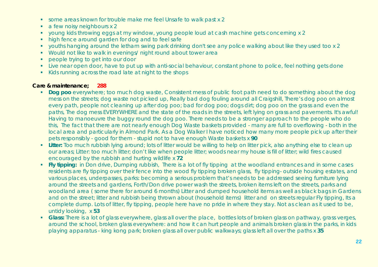- some areas known for trouble make me feel Unsafe to walk past x 2
- a few noisy neighbours x 2
- young kids throwing eggs at my window, young people loud at cash machine gets concerning x 2
- high fence around garden for dog and to feel safe
- youths hanging around the letham swing park drinking don't see any police walking about like they used too x 2
- Would not like to walk in evenings/ night round about tower area
- **people trying to get into our door**
- **Live near open door, have to put up with anti-social behaviour, constant phone to police, feel nothing gets done**
- Kids running across the road late at night to the shops

#### **Care & maintenance; 288**

- **Dog poo** everywhere; too much dog waste, Consistent mess of public foot path need to do something about the dog mess on the streets; dog waste not picked up, Really bad dog fouling around all Craigshill, There's dog poo on almost every path, people not cleaning up after dog poo; bad for dog poo; dogs dirt; dog poo on the grass and even the paths, The dog mess EVERYWHERE and the state of the roads in the streets, left lying on grass and pavements. It's awful! Having to manoeuvre the buggy round the dog poo. There needs to be a stronger approach to the people who do this, The fact that there are not nearly enough Dog Waste baskets provided - many are full to overflowing - both in the local area and particularly in Almond Park. As a Dog Walker I have noticed how many more people pick up after their pets responsibly - good for them - stupid not to have enough Waste baskets x **90**
- **Litter:** Too much rubbish lying around; lots of litter would be willing to help on litter pick, also anything else to clean up our areas; Litter: too much litter; don't like when people litter; woods near my house is fill of litter; wild fires caused encouraged by the rubbish and hurting wildlife x **72**
- **Fly tipping:** in Don drive, Dumping rubbish, There is a lot of fly tipping at the woodland entrances and in some cases residents are fly tipping over their fence into the wood fly tipping broken glass, fly tipping- outside housing estates, and various places, underpasses, parks: becoming a serious problem that's needs to be addressed seeing furniture lying around the streets and gardens, Forth/Don drive power wash the streets, broken items left on the streets, parks and woodland area ( some there for around 6 months) Litter and dumped household items as well as black bags in Gardens and on the street; litter and rubbish being thrown about (household items) litter and on streets regular Fly tipping, Its a complete dump. Lots of litter, fly tipping, people here have no pride in where they stay. Not as clean as it used to be, untidy looking, x **53**
- **Glass:** There is a lot of glass everywhere, glass all over the place, bottles lots of broken glass on pathway, grass verges, around the school, broken glass everywhere: and how it can hurt people and animals broken glass in the parks, in kids playing apparatus - king kong park; broken glass all over public walkways; glass left all over the paths x **35**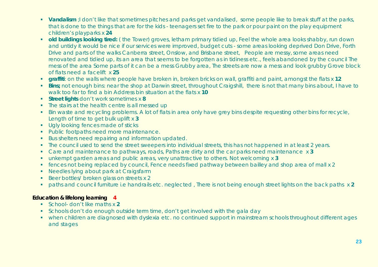- **Vandalism**; I don't like that sometimes pitches and parks get vandalised, some people like to break stuff at the parks, that is done to the things that are for the kids - teenagers set fire to the park or pour paint on the play equipment children's playparks x **24**
- **old buildings looking tired:** (the Tower) groves, letham primary tidied up, Feel the whole area looks shabby, run down and untidy it would be nice if our services were improved, budget cuts - some areas looking deprived Don Drive, Forth Drive and parts of the walks Canberra street, Onslow, and Brisbane street, People are messy, some areas need renovated and tidied up, its an area that seems to be forgotten as in tidiness etc., feels abandoned by the council The mess of the area Some parts of it can be a mess Grubby area, The streets are now a mess and look grubby Grove block of flats need a facelift x **25**
- **graffiti**: on the walls where people have broken in, broken bricks on wall, graffiti and paint, amongst the flats x **12**
- **Bins**; not enough bins: near the shop at Darwin street, throughout Craigshill, there is not that many bins about, I have to walk too far to find a bin Address bin situation at the flats x **10**
- **Street lights** don't work sometimes x **8**
- The stairs at the health centre is all messed up
- Bin waste and recycling problems. A lot of flats in area only have grey bins despite requesting other bins for recycle, Length of time to get bulk uplift x **3**
- **Ugly looking fences made of sticks**
- **Public footpaths need more maintenance.**
- Bus shelters need repairing and information updated.
- The council used to send the street sweepers into individual streets, this has not happened in at least 2 years.
- Care and maintenance to pathways, roads, Paths are dirty and the car parks need maintenance x **3**
- unkempt garden areas and public areas, very unattractive to others. Not welcoming x **3**
- fences not being replaced by council, Fence needs fixed pathway between bailley and shop area of mall x 2
- Needles lying about park at Craigsfarm
- Beer bottles/ broken glass on streets x 2
- paths and council furniture i.e handrails etc. neglected , There is not being enough street lights on the back paths x **2**

#### **Education & lifelong learning 4**

- School- don't like maths x **2**
- Schools don't do enough outside term time, don't get involved with the gala day
- when children are diagnosed with dyslexia etc. no continued support in mainstream schools throughout different ages and stages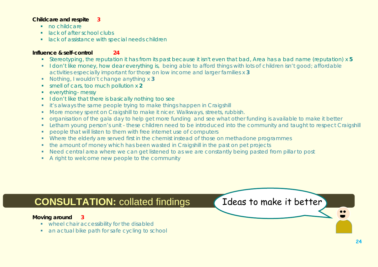#### **Childcare and respite 3**

- **no childcare**
- lack of after school clubs
- **In a lack of assistance with special needs children**

#### **Influence & self-control 24**

- Stereotyping, the reputation it has from its past because it isn't even that bad, Area has a bad name (reputation) x **5**
- I don't like money, how dear everything is, being able to afford things with lots of children isn't good; affordable activities especially important for those on low income and larger families x **3**
- Nothing, I wouldn't change anything x **3**
- smell of cars, too much pollution x **2**
- **•** everything- messy
- I don't like that there is basically nothing too see
- **i** it's always the same people trying to make things happen in Craigshill
- **More money spent on Craigshill to make it nicer. Walkways, streets, rubbish.**
- organisation of the gala day to help get more funding and see what other funding is available to make it better
- Letham young person's unit these children need to be introduced into the community and taught to respect Craigshill
- **•** people that will listen to them with free internet use of computers
- Where the elderly are served first in the chemist instead of those on methadone programmes
- the amount of money which has been wasted in Craigshill in the past on pet projects
- Need central area where we can get listened to as we are constantly being pasted from pillar to post
- A right to welcome new people to the community

## **CONSULTATION:** collated findings and Ideas to make it better

#### **Moving around 3**

- **•** wheel chair accessibility for the disabled
- **an actual bike path for safe cycling to school**

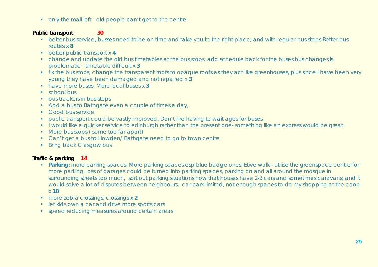• only the mall left - old people can't get to the centre

#### **Public transport 30**

- **•** better bus service, busses need to be on time and take you to the right place; and with regular bus stops Better bus routes x **8**
- **better public transport x 4**
- change and update the old bus timetables at the bus stops; add schedule back for the buses bus changes is problematic - timetable difficult x **3**
- **fix the bus stops; change the transparent roofs to opaque roofs as they act like greenhouses, plus since I have been very property** young they have been damaged and not repaired x **3**
- have more buses, More local buses x **3**
- **school bus**
- **bus trackers in bus stops**
- Add a bus to Bathgate even a couple of times a day,
- **Good bus service**
- **•** public transport could be vastly improved. Don't like having to wait ages for buses
- **I** would like a quicker service to edinburgh rather than the present one- something like an express would be great
- More bus stops (some too far apart)
- Can't get a bus to Howden/ Bathgate need to go to town centre
- **Bring back Glasgow bus**

### **Traffic & parking 14**

- **Parking:** more parking spaces, More parking spaces esp blue badge ones; Etive walk utilise the greenspace centre for more parking, loss of garages could be turned into parking spaces, parking on and all around the mosque in surrounding streets too much, sort out parking situations now that houses have 2-3 cars and sometimes caravans; and it would solve a lot of disputes between neighbours, car park limited, not enough spaces to do my shopping at the coop x **10**
- more zebra crossings, crossings x **2**
- **In the kids own a car and drive more sports cars**
- speed reducing measures around certain areas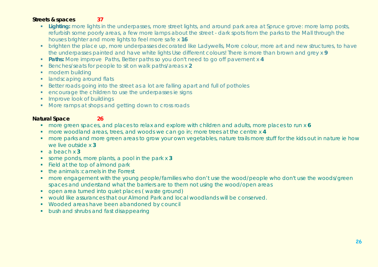#### **Streets & spaces 37**

- **Lighting:** more lights in the underpasses, more street lights, and around park area at Spruce grove: more lamp posts, refurbish some poorly areas, a few more lamps about the street - dark spots from the parks to the Mall through the houses brighter and more lights to feel more safe x **16**
- brighten the place up, more underpasses decorated like Ladywells, More colour, more art and new structures, to have the underpasses painted and have white lights Use different colours! There is more than brown and grey x **9**
- **Paths:** More improve Paths, Better paths so you don't need to go off pavement x 4
- Benches/seats for people to sit on walk paths/areas x 2
- **•** modern building
- **Individual around flats**
- Better roads going into the street as a lot are falling apart and full of potholes
- encourage the children to use the underpasses ie signs
- **IMPROVE LOOK of buildings**
- More ramps at shops and getting down to cross roads

#### **Natural Space 26**

- more green spaces, and places to relax and explore with children and adults, more places to run x **6**
- more woodland areas, trees, and woods we can go in; more trees at the centre x **4**
- **nore parks and more green areas to grow your own vegetables, nature trails more stuff for the kids out in nature ie how** we live outside x **3**
- a beach x **3**
- some ponds, more plants, a pool in the park x **3**
- Field at the top of almond park
- the animals : camels in the Forrest
- more engagement with the young people/families who don't use the wood/people who don't use the woods/green spaces and understand what the barriers are to them not using the wood/open areas
- open area turned into quiet places ( waste ground)
- would like assurances that our Almond Park and local woodlands will be conserved.
- **Wooded areas have been abandoned by council**
- **•** bush and shrubs and fast disappearing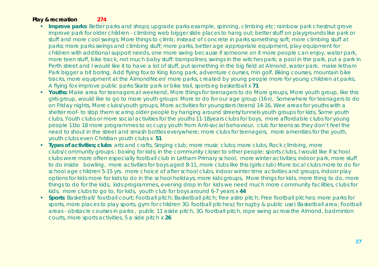#### **Play & recreation 274**

- **Improve parks**: Better parks and shops; upgrade parks example, spinning, climbing etc; rainbow park chestnut grove improve park for older children - climbing web bigger slide places to hang out; better stuff on playgrounds like park or stuff and more cool swings; More things to climb; instead of concrete in parks something soft; more climbing stuff at parks; more parks swings and climbing stuff; more parks, better age appropriate equipment, play equipment for children with additional support needs, one more swing because if someone on it more people can enjoy, water park, more teen stuff, bike track, not much baby stuff: trampolines; swings in the witches park; a pool in the park, put a park in Perth street and I would like it to have a lot of stuff, put something in the big field at Almond, water park, make letham Park bigger a bit boring, Add flying fox to King Kong park, adventure courses, min golf, Biking courses, mountain bike tracks, more equipment at the AlmondNicer/ more parks, created by young people more for young children at parks, A flying fox improve public parks Skate park or bike trail, sports eg basketball x **71**
- **Youths:** Make area for teenagers at weekend, More things for teenagers to do More groups, More youth group, like this girls group, would like to go to more youth groups More to do for our age group (16+), Somewhere for teenagers to do on Friday nights, More clubs/youth groups, More activities for youngsters (teens) 14-16, Wee areas for youths with a shelter roof- to stop them scaring older people by hanging around streets/tunnels youth groups for kids, Some youth clubs, Youth clubs or more social activities for the youths 11-18years clubs for boys, more affordable clubs for young people 11to 18 more programmes to occupy youth from Anti-social behaviour, club for teens so they don't feel the need to shout in the street and smash bottles everywhere; more clubs for teenagers, more amenities for the youth, youth clubs even Christian youth clubs x **51**
- **Types of activities; clubs** arts and crafts, Singing club; more music clubs; more clubs, Rock climbing, more clubs/community groups : boxing for kids; in the community closer to other people: sports clubs, I would like if school clubs were more often especially football club in Letham Primary school, more winter activities; indoor park, more stuff to do inside bowling, more activities for boys aged 8-11, more clubs like this (girls club) More local clubs more to do for school age children 5-15 yrs. more choice of after school clubs, indoor winter time activities and groups, Indoor play options for kids more for kids to do in the school holidays; more kids groups, More things for kids, more thing to do, more things to do for the kids, kids programmes, evening drop in for kids we need much more community facilities, clubs for kids, more clubs to go to, for kids, youth club for boys around 6-7 years x **44**
- **Sports**: Basketball/ football court; Football pitch; Basketball pitch; free astro pitch; Free football pitches: more parks for sports, more places to play sports, gym for children 3G football pitches;( for rugby & public use) Basketball area; Football areas - obstacle courses in parks , public 11 aside pitch, 3G football pitch, rope swing across the Almond, badminton courts, more sports activities, 5 a side pitch x **26**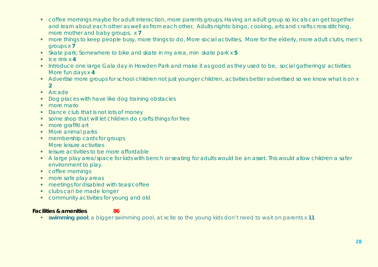- coffee mornings maybe for adult interaction, more parents groups, Having an adult group so locals can get together and learn about each other as well as from each other, Adults nights: bingo, cooking, arts and crafts cross stitching, more mother and baby groups, x **7**
- **number things to keep people busy, more things to do, More social activities, More for the elderly, more adult clubs, men's** groups x **7**
- Skate park; Somewhere to bike and skate in my area, min skate park x **5**
- $\blacksquare$  Ice rink x 4
- Introduce one large Gala day in Howden Park and make it as good as they used to be, social gatherings/ activities More fun days x **4**
- Advertise more groups for school children not just younger children, activities better advertised so we know what is on x **2**
- **Arcade**
- Dog places with have like dog training obstacles
- **n** more mario
- Dance club that is not lots of money
- some shop that will let children do crafts things for free
- **more graffiti art**
- More animal parks
- **membership cards for groups** More leisure activities
- **E.** leisure activities to be more affordable
- A large play area/space for kids with bench or seating for adults would be an asset. This would allow children a safer environment to play.
- **•** coffee mornings
- more safe play areas
- **meetings for disabled with teas/coffee**
- clubs can be made longer
- **community activities for young and old**

#### **Facilities & amenities 86**

- 
- **swimming pool**; a bigger swimming pool, at xcite so the young kids don't need to wait on parents x **11**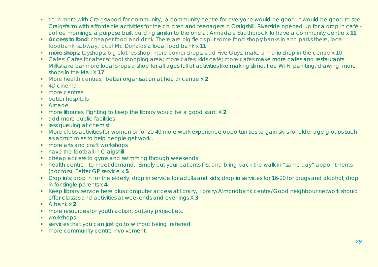- tie in more with Craigswood for community, a community centre for everyone would be good, it would be good to see Craigsfarm with affordable activities for the children and teenagers in Craigshill, Riverside opened up for a drop in café coffee mornings, a purpose built building similar to the one at Armadale Strathbrock To have a community centre x **11**
- **Access to food**: cheaper food and drink, There are big fields put some food shops/banks in and parks there, local foodbank subway, local Mc Donalds a local food bank x **11**
- **more shops**; toyshops; big clothes shop; more corner shops, add Five Guys, make a mario shop in the centre x 10
- Cafes: Cafes for after school shopping area; more cafes; kids café; more cafes make more cafes and restaurants Milkshake bar more local shops a shop for all ages full of activities like making slime, free Wi-Fi, painting, drawing; more shops in the Mall X **17**
- More health centres, better organisation at health centre x **2**
- 4D cinema
- **nore** centres
- **•** better hospitals
- Arcade
- more libraries, Fighting to keep the library would be a good start. X **2**
- **add more public facilities**
- **less queuing at chemist**
- More clubs activities for women or for 20-40 more work experience opportunities to gain skills for older age groups such as admin roles to help people get work .
- more arts and craft workshops
- have the football in Craigshill
- cheap access to gyms and swimming through weekends
- health centre to meet demand, Simply put your patients first and bring back the walk in "same day" appointments. (doctors), Better GP service x **5**
- Drop in's: drop in for the elderly; drop in service for adults and kids; drop in services for 16-20 for drugs and alcohol; drop in for single parents x **4**
- Keep library service here plus computer access at library, library/Almondbank centre/Good neighbour network should offer classes and activities at weekends and evenings X **3**
- A bank x **2**
- **n** more resources for youth action, pottery project etc
- **•** workshops
- services that you can just go to without being referred
- **n** more community centre involvement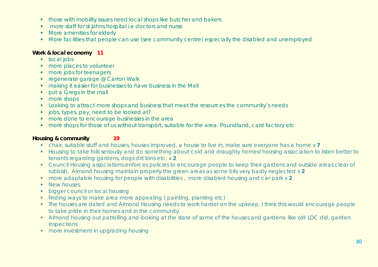- **those with mobility issues need local shops like butcher and bakers**
- **n** more staff for st johns hospital i.e doctors and nurse
- **More amenities for elderly**
- **More facilities that people can use (see community centre) especially the disabled and unemployed**

#### **Work & local economy 11**

- **local jobs**
- **nore** places to volunteer
- **nore jobs for teenagers**
- **regenerate garage @ Carron Walk**
- **making it easier for businesses to have business in the Mall**
- **•** put a Gregs in the mall
- more shops
- Looking to attract more shops and business that meet the resources the community's needs
- **jobs, types, pay, need to be looked at?**
- **nore done to encourage businesses in the area**
- **nore shops for those of us without transport, suitable for the area. Poundland, card factory etc.**

#### **Housing & community 19**

- chair, suitable stuff and houses, houses improved, a house to live in, make sure everyone has a home x **7**
- Housing to take folk seriously and do something about cold and draughty homes! housing association to listen better to tenants regarding gardens, dogs dirt bins etc, x **2**
- Council Housing associations enforces policies to encourage people to keep their gardens and outside areas clear of rubbish, Almond housing maintain properly the green areas as some bits very badly neglected x **2**
- more adaptable housing for people with disabilities , more disabled housing and car park x **2**
- New houses
- **bigger council or local housing**
- finding ways to make area more appealing ( painting, planting etc)
- The houses are dated and Almond Housing needs to work harder on the upkeep. I think this would encourage people to take pride in their homes and in the community.
- Almond housing out patrolling and looking at the state of some of the houses and gardens- like old LDC did, garden inspections
- **n** more investment in upgrading housing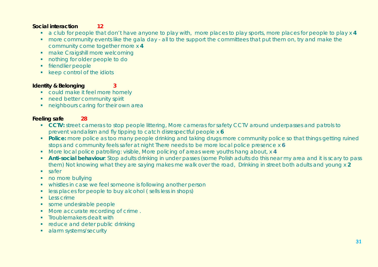#### **Social interaction 12**

- a club for people that don't have anyone to play with, more places to play sports, more places for people to play x **4**
- **nore community events like the gala day all to the support the committees that put them on, try and make the** community come together more x **4**
- make Craigshill more welcoming
- nothing for older people to do
- **friendlier people**
- **EXECTE:** keep control of the idiots

#### **Identity & Belonging 3**

- could make it feel more homely
- **need better community spirit**
- neighbours caring for their own area

#### **Feeling safe 28**

- **CCTV:** street cameras to stop people littering, More cameras for safety CCTV around underpasses and patrols to prevent vandalism and fly tipping to catch disrespectful people x **6**
- **Police:** more police as too many people drinking and taking drugs more community police so that things getting ruined stops and community feels safer at night There needs to be more local police presence x **6**
- More local police patrolling: visible, More policing of areas were youths hang about, x **4**
- **Anti-social behaviour**: Stop adults drinking in under passes (some Polish adults do this near my area and it is scary to pass them) Not knowing what they are saying makes me walk over the road, Drinking in street both adults and young x **2**
- safer
- no more bullying
- whistles in case we feel someone is following another person
- **EXECT:** less places for people to buy alcohol ( sells less in shops)
- $\blacksquare$  Less crime
- some undesirable people
- More accurate recording of crime.
- **Troublemakers dealt with**
- **•** reduce and deter public drinking
- **alarm systems/security**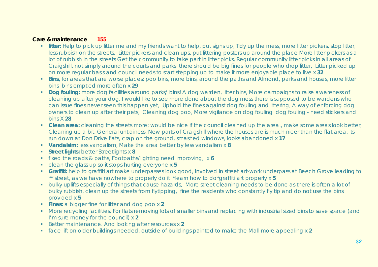#### **Care & maintenance 155**

- **Ilitter:** Help to pick up litter me and my friends want to help, put signs up, Tidy up the mess, more litter pickers, stop litter, less rubbish on the streets, Litter pickers and clean ups, put littering posters up around the place More litter pickers as a lot of rubbish in the streets Get the community to take part in litter picks, Regular community litter picks in all areas of Craigshill, not simply around the courts and parks there should be big fines for people who drop litter, Litter picked up on more regular basis and council needs to start stepping up to make it more enjoyable place to live x **32**
- **Bins,** for areas that are worse places; poo bins, more bins, around the paths and Almond, parks and houses, more litter bins bins emptied more often x **29**
- **Dog fouling:** more dog facilities around parks/ bins! A dog warden, litter bins, More campaigns to raise awareness of cleaning up after your dog. I would like to see more done about the dog mess there is supposed to be wardens who can issue fines never seen this happen yet, Uphold the fines against dog fouling and littering, A way of enforcing dog owners to clean up after their pets, Cleaning dog poo, More vigilance on dog fouling dog fouling - need stickers and bins X **28**
- **Clean area:** cleaning the streets more; would be nice if the council cleaned up the area., make some areas look better, Cleaning up a bit. General untidiness. New parts of Craigshill where the houses are is much nicer than the flat area, its run down at Don Drive flats, crap on the ground, smashed windows, looks abandoned x **17**
- **Vandalsim:** less vandalism, Make the area better by less vandalism x **8**
- **Street lights:** better Streetlights x **8**
- fixed the roads & paths, Footpaths/lighting need improving, x **6**
- clean the glass up so it stops hurting everyone x **5**
- **Graffiti:** help to graffiti art make underpasses look good, Involved in street art-work underpass at Beech Grove leading to \*\* street, as we have nowhere to properly do it \*learn how to do\*graffiti art properly x **5**
- **•** bulky uplifts especially of things that cause hazards, More street cleaning needs to be done as there is often a lot of bulky rubbish, clean up the streets from flytipping, fine the residents who constantly fly tip and do not use the bins provided x **5**
- **Fines:** a bigger fine for litter and dog poo x **2**
- More recycling facilities. For flats removing lots of smaller bins and replacing with industrial sized bins to save space (and I'm sure money for the council) x **2**
- Better maintenance. And looking after resources x 2
- face lift on older buildings needed, outside of buildings painted to make the Mall more appealing x **2**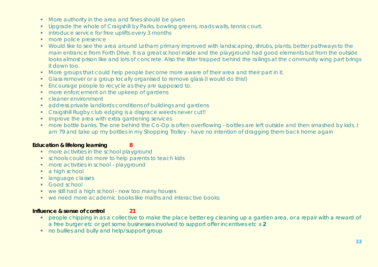- **More authority in the area and fines should be given**
- **Upgrade the whole of Craigshill by Parks, bowling greens, roads walls, tennis court.**
- **introduce service for free uplifts every 3 months**
- **more police presence**
- Would like to see the area around Letham primary improved with landscaping, shrubs, plants, better pathways to the main entrance from Forth Drive. It is a great school inside and the playground had good elements but from the outside looks almost prison like and lots of concrete. Also the litter trapped behind the railings at the community wing part brings it down too.
- More groups that could help people become more aware of their area and their part in it.
- Glass remover or a group locally organised to remove glass (I would do this!)
- **Encourage people to recycle as they are supposed to.**
- **nore enforcement on the upkeep of gardens**
- **Cleaner environment**
- address private landlords conditions of buildings and gardens
- Craigshill Rugby club edging is a disgrace weeds never cut!!
- **i** improve the area with extra gardening services
- **number 10** and the one behind the Co-Op is often overflowing bottles are left outside and then smashed by kids. I am 79 and take up my bottles in my Shopping Trolley - have no intention of dragging them back home again

#### **Education & lifelong learning 8**

- more activities in the school playground
- schools could do more to help parents to teach kids
- **nore activities in school playground**
- a high school
- **I** language classes
- **Good school**
- we still had a high school now too many houses
- we need more academic books like maths and interactive books

#### **Influence & sense of control 21**

- **People chipping in as a collective to make the place better eg cleaning up a garden area, or a repair with a reward of** a free burger etc or get some businesses involved to support offer incentives etc x **2**
- no bullies and bully and help/support group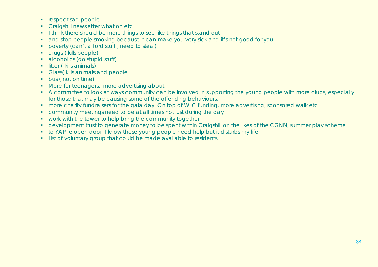- **respect sad people**
- **Craigshill newsletter what on etc.**
- I think there should be more things to see like things that stand out
- **and stop people smoking because it can make you very sick and it's not good for you**
- **•** poverty (can't afford stuff ; need to steal)
- drugs ( kills people)
- alcoholics (do stupid stuff)
- **I** litter ( kills animals)
- **Glass (kills animals and people**
- **bus (not on time)**
- More for teenagers, more advertising about
- A committee to look at ways community can be involved in supporting the young people with more clubs, especially for those that may be causing some of the offending behaviours.
- **nore charity fundraisers for the gala day. On top of WLC funding, more advertising, sponsored walk etc**
- community meetings need to be at all times not just during the day
- **•** work with the tower to help bring the community together
- development trust to generate money to be spent within Craigshill on the likes of the CGNN, summer play scheme
- to YAP re open door- I know these young people need help but it disturbs my life
- **Example 2** List of voluntary group that could be made available to residents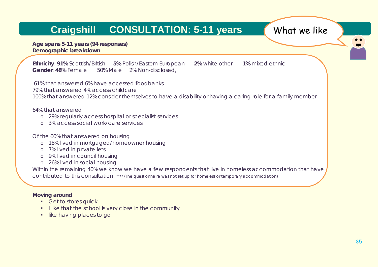# **Craigshill CONSULTATION: 5-11 years What we like**

**Age spans 5-11 years (94 responses) Demographic breakdown**

**Ethnicity**: **91%** Scottish/British **5%** Polish/Eastern European **2%** white other **1%** mixed ethnic **Gender**: **48%** Female 50% Male 2% Non-disclosed,

61% that answered 6% have accessed foodbanks 79% that answered 4% access childcare 100% that answered 12% consider themselves to have a disability or having a caring role for a family member

64% that answered

- o 29% regularly access hospital or specialist services
- o 3% access social work/care services

Of the 60% that answered on housing

- o 18% lived in mortgaged/homeowner housing
- o 7% lived in private lets
- o 9% lived in council housing
- o 26% lived in social housing

Within the remaining 40% we know we have a few respondents that live in homeless accommodation that have contributed to this consultation. *\*\*\*\* (The questionnaire was not set up for homeless or temporary accommodation)* 

#### **Moving around**

- **Get to stores quick**
- I like that the school is very close in the community
- **I** like having places to go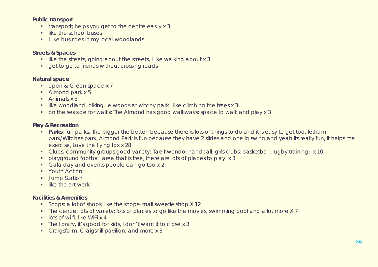#### **Public transport**

- **the transport; helps you get to the centre easily x 3**
- $\blacksquare$  like the school buses
- I like bus rides in my local woodlands

#### **Streets & Spaces**

- $\blacksquare$  like the streets, going about the streets, I like walking about x 3
- **quetto go to friends without crossing roads**

#### **Natural space**

- open & Green space x 7
- Almond park x 5
- $\blacksquare$  Animals x 3
- like woodland, biking i.e woods at witchy park I like climbing the trees x 3
- on the seaside for walks: The Almond has good walkways: space to walk and play x 3

#### **Play & Recreation**

- **Parks**: fun parks. The bigger the better! because there is lots of things to do and it is easy to get too, letham park/Witches park, Almond Park is fun because they have 2 slides and one ig swing and yeah its really fun, it helps me exercise, Love the flying fox x 28
- Clubs, community groups good variety: Tae Kwondo: handball: girls clubs: basketball: rugby training: x 10
- playground football area that is free, there are lots of places to play x 3
- Gala day and events people can go too x 2
- **Youth Action**
- **Jump Station**
- $\blacksquare$  like the art work

#### **Facilities & Amenities**

- **Shops: a lot of shops; like the shops- mall sweetie shop X 12**
- The centre; lots of variety; lots of places to go like the movies, swimming pool and a lot more X 7
- $\blacksquare$  lots of wi fi, like WiFi x 4
- The library, it's good for kids, I don't want it to close x 3
- **Craigsfarm, Craigshill pavilion, and more x 3**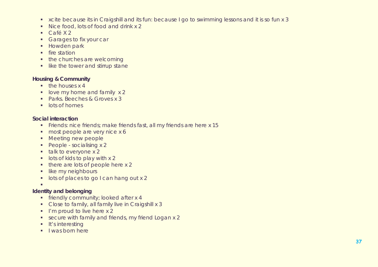- xcite because its in Craigshill and its fun: because I go to swimming lessons and it is so fun x 3
- Nice food, lots of food and drink x 2
- $\overline{C}$ afé X 2
- **Garages to fix your car**
- **Howden park**
- $\blacksquare$  fire station
- the churches are welcoming
- **If like the tower and stirrup stane**

### **Housing & Community**

- $\blacksquare$  the houses x 4
- **I** love my home and family x 2
- Parks. Beeches & Groves x 3
- **I** lots of homes

### **Social interaction**

- Friends: nice friends; make friends fast, all my friends are here x 15
- most people are very nice x 6
- **Meeting new people**
- People socialising x 2
- $\blacksquare$  talk to everyone x 2
- $\blacksquare$  lots of kids to play with x 2
- there are lots of people here x 2
- **Ilike my neighbours**
- **IDES** lots of places to go I can hang out x 2
- $\mathbf{r}$

### **Identity and belonging**

- **firmally community; looked after x 4**
- Close to family, all family live in Craigshill x 3
- $I'm$  proud to live here  $x 2$
- secure with family and friends, my friend Logan x 2
- $\blacksquare$  It's interesting
- $\blacksquare$  I was born here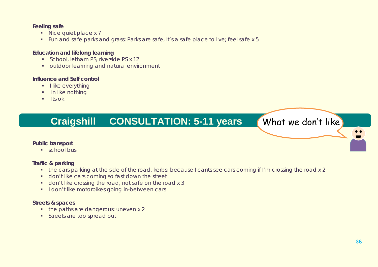### **Feeling safe**

- Nice quiet place x 7
- Fun and safe parks and grass; Parks are safe, It's a safe place to live; feel safe x 5

### **Education and lifelong learning**

- School, letham PS, riverside PS x 12
- **outdoor learning and natural environment**

### **Influence and Self control**

- **I** like everything
- $\blacksquare$  In like nothing
- $\blacksquare$  Its ok

# **Craigshill CONSULTATION: 5-11 years What we don't like**

### **Public transport**

**school bus** 

### **Traffic & parking**

- the cars parking at the side of the road, kerbs; because I cants see cars coming if I'm crossing the road x 2
- **don't like cars coming so fast down the street**
- don't like crossing the road, not safe on the road x 3
- I don't like motorbikes going in-between cars

### **Streets & spaces**

- the paths are dangerous: uneven x 2
- **Streets are too spread out**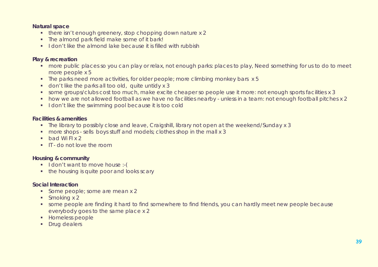### **Natural space**

- there isn't enough greenery, stop chopping down nature x 2
- The almond park field make some of it bark!
- I don't like the almond lake because it is filled with rubbish

### **Play & recreation**

- **nore public places so you can play or relax, not enough parks: places to play, Need something for us to do to meet** more people x 5
- The parks need more activities, for older people; more climbing monkey bars x 5
- don't like the parks all too old, quite untidy x 3
- some groups/clubs cost too much, make excite cheaper so people use it more: not enough sports facilities x 3
- how we are not allowed football as we have no facilities nearby unless in a team: not enough football pitches x 2
- I don't like the swimming pool because it is too cold

### **Facilities & amenities**

- The library to possibly close and leave, Craigshill, library not open at the weekend/Sunday x 3
- **n** more shops sells boys stuff and models; clothes shop in the mall x 3
- $\blacksquare$  bad Wi FI x 2
- IT do not love the room

### **Housing & community**

- I don't want to move house :-(
- the housing is quite poor and looks scary

### **Social Interaction**

- Some people; some are mean x 2
- Smoking x 2
- some people are finding it hard to find somewhere to find friends, you can hardly meet new people because everybody goes to the same place x 2
- **Homeless people**
- **Drug dealers**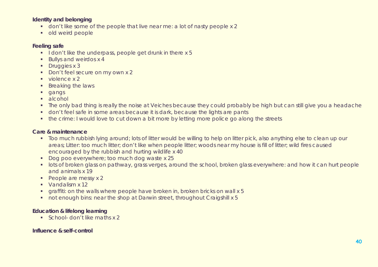### **Identity and belonging**

- don't like some of the people that live near me: a lot of nasty people x 2
- **•** old weird people

### **Feeling safe**

- I don't like the underpass, people get drunk in there  $x 5$
- **Bullys and weirdos x 4**
- Druggies x 3
- Don't feel secure on my own x 2
- $\blacksquare$  violence x 2
- **Breaking the laws**
- **gangs**
- alcohol
- The only bad thing is really the noise at Veiches because they could probably be high but can still give you a headache
- don't feel safe in some areas because it is dark, because the lights are pants
- the crime: I would love to cut down a bit more by letting more police go along the streets

### **Care & maintenance**

- **Too much rubbish lying around; lots of litter would be willing to help on litter pick, also anything else to clean up our** areas; Litter: too much litter; don't like when people litter; woods near my house is fill of litter; wild fires caused encouraged by the rubbish and hurting wildlife x 40
- Dog poo everywhere; too much dog waste x 25
- **I** lots of broken glass on pathway, grass verges, around the school, broken glass everywhere: and how it can hurt people and animals x 19
- People are messy x 2
- **Vandalism x 12**
- **The starffiti: on the walls where people have broken in, broken bricks on wall x 5**
- not enough bins: near the shop at Darwin street, throughout Craigshill x 5

### **Education & lifelong learning**

School- don't like maths x 2

### **Influence & self-control**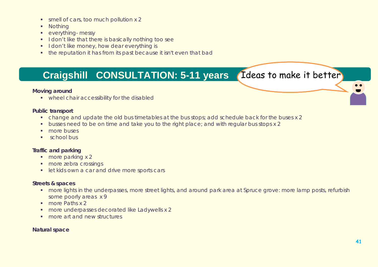- smell of cars, too much pollution x 2
- **Nothing**
- **•** everything- messy
- I don't like that there is basically nothing too see
- I don't like money, how dear everything is
- the reputation it has from its past because it isn't even that bad

## **Craigshill CONSULTATION: 5-11 years (Ideas to make it better)**

### **Moving around**

**•** wheel chair accessibility for the disabled

### **Public transport**

- change and update the old bus timetables at the bus stops; add schedule back for the buses x 2
- **busses need to be on time and take you to the right place; and with regular bus stops x 2**
- **more buses**
- **school bus**

### **Traffic and parking**

- **more parking x 2**
- **nore zebra crossings**
- **let kids own a car and drive more sports cars**

### **Streets & spaces**

- **numore lights in the underpasses, more street lights, and around park area at Spruce grove: more lamp posts, refurbish** some poorly areas x 9
- **more Paths x 2**
- **more underpasses decorated like Ladywells x 2**
- **F** more art and new structures

### **Natural space**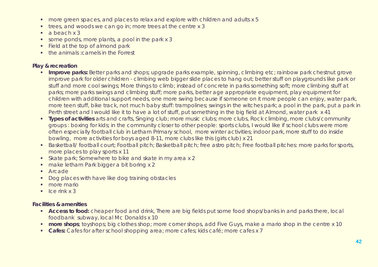- **nore green spaces, and places to relax and explore with children and adults x 5**
- **trees, and woods we can go in; more trees at the centre x 3**
- $\blacksquare$  a beach x 3
- some ponds, more plants, a pool in the park x 3
- Field at the top of almond park
- the animals : camels in the Forrest

### **Play & recreation**

- **Improve parks:** Better parks and shops; upgrade parks example, spinning, climbing etc; rainbow park chestnut grove improve park for older children - climbing web bigger slide places to hang out; better stuff on playgrounds like park or stuff and more cool swings; More things to climb; instead of concrete in parks something soft; more climbing stuff at parks; more parks swings and climbing stuff; more parks, better age appropriate equipment, play equipment for children with additional support needs, one more swing because if someone on it more people can enjoy, water park, more teen stuff, bike track, not much baby stuff: trampolines; swings in the witches park; a pool in the park, put a park in Perth street and I would like it to have a lot of stuff, put something in the big field at Almond, water park x 41
- **Types of activities** arts and crafts, Singing club; more music clubs; more clubs, Rock climbing, more clubs/community groups : boxing for kids; in the community closer to other people: sports clubs, I would like if school clubs were more often especially football club in Letham Primary school, more winter activities; indoor park, more stuff to do inside bowling, more activities for boys aged 8-11, more clubs like this (girls club) x 21
- **Basketball/ football court; Football pitch; Basketball pitch; free astro pitch; Free football pitches: more parks for sports,** more places to play sports x 11
- Skate park; Somewhere to bike and skate in my area x 2
- make letham Park bigger a bit boring x 2
- **Arcade**
- Dog places with have like dog training obstacles
- **n**more mario
- $\blacksquare$  Ice rink x 3

### **Facilities & amenities**

- **Access to food:** cheaper food and drink, There are big fields put some food shops/banks in and parks there, local foodbank subway, local Mc Donalds x 10
- **more shops**; toyshops; big clothes shop; more corner shops, add Five Guys, make a mario shop in the centre x 10
- **Cafes:** Cafes for after school shopping area; more cafes; kids café; more cafes x 7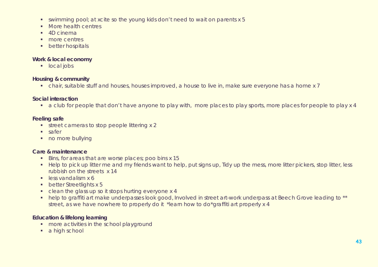- swimming pool; at xcite so the young kids don't need to wait on parents x 5
- **More health centres**
- 4D cinema
- **nore** centres
- **•** better hospitals

### **Work & local economy**

**local jobs** 

### **Housing & community**

chair, suitable stuff and houses, houses improved, a house to live in, make sure everyone has a home x 7

### **Social interaction**

a club for people that don't have anyone to play with, more places to play sports, more places for people to play x 4

### **Feeling safe**

- street cameras to stop people littering x 2
- **safer**
- no more bullying

### **Care & maintenance**

- Bins, for areas that are worse places; poo bins x 15
- Help to pick up litter me and my friends want to help, put signs up, Tidy up the mess, more litter pickers, stop litter, less rubbish on the streets x 14
- $\overline{\phantom{a}}$  less vandalism x 6
- **better Streetlights x 5**
- clean the glass up so it stops hurting everyone x 4
- help to graffiti art make underpasses look good, Involved in street art-work underpass at Beech Grove leading to \*\* street, as we have nowhere to properly do it \*learn how to do\*graffiti art properly x 4

### **Education & lifelong learning**

- **more activities in the school playground**
- a high school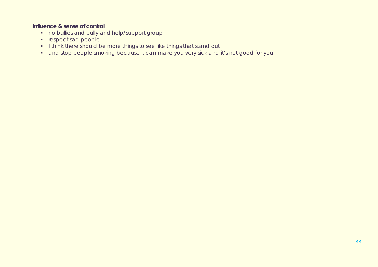### **Influence & sense of control**

- no bullies and bully and help/support group
- **respect sad people**
- I think there should be more things to see like things that stand out
- **and stop people smoking because it can make you very sick and it's not good for you**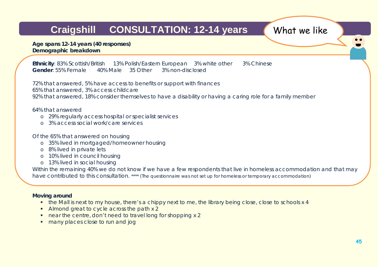# **Craigshill CONSULTATION: 12-14 years What we like**

**Age spans 12-14 years (40 responses) Demographic breakdown**

**Ethnicity**: 83% Scottish/British 13% Polish/Eastern European 3% white other 3% Chinese **Gender**: 55% Female 40% Male 35 Other 3% non-disclosed

72% that answered, 5% have access to benefits or support with finances

65% that answered, 3% access childcare

92% that answered, 18% consider themselves to have a disability or having a caring role for a family member

64% that answered

- o 29% regularly access hospital or specialist services
- o 3% access social work/care services

Of the 65% that answered on housing

- o 35% lived in mortgaged/homeowner housing
- o 8% lived in private lets
- o 10% lived in council housing
- o 13% lived in social housing

Within the remaining 40% we do not know if we have a few respondents that live in homeless accommodation and that may have contributed to this consultation. *\*\*\*\* (The questionnaire was not set up for homeless or temporary accommodation)*

### **Moving around**

- the Mall is next to my house, there's a chippy next to me, the library being close, close to schools x 4
- Almond great to cycle across the path x 2
- near the centre, don't need to travel long for shopping x 2
- **nany places close to run and jog**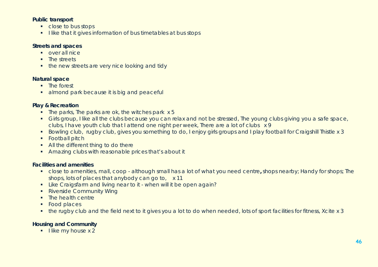### **Public transport**

- close to bus stops
- I like that it gives information of bus timetables at bus stops

### **Streets and spaces**

- **over all nice**
- **The streets**
- **the new streets are very nice looking and tidy**

### **Natural space**

- **The forest**
- almond park because it is big and peaceful

### **Play & Recreation**

- $\blacksquare$  The parks, The parks are ok, the witches park  $x 5$
- Girls group, I like all the clubs because you can relax and not be stressed, The young clubs giving you a safe space, clubs, I have youth club that I attend one night per week, There are a lot of clubs x 9
- Bowling club, rugby club, gives you something to do, I enjoy girls groups and I play football for Craigshill Thistle x 3
- **Football pitch**
- All the different thing to do there
- Amazing clubs with reasonable prices that's about it

### **Facilities and amenities**

- close to amenities, mall, coop although small has a lot of what you need centre**,** shops nearby; Handy for shops; The shops, lots of places that anybody can go to, x 11
- Like Craigsfarm and living near to it when will it be open again?
- Riverside Community Wing
- The health centre
- Food places
- the rugby club and the field next to it gives you a lot to do when needed, lots of sport facilities for fitness, Xcite x 3

### **Housing and Community**

 $\blacksquare$  like my house x 2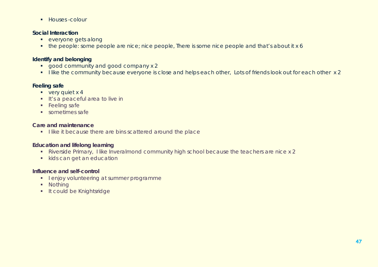**Houses-colour** 

### **Social Interaction**

- **everyone gets along**
- the people: some people are nice; nice people, There is some nice people and that's about it x 6

### **Identify and belonging**

- good community and good company x 2
- I like the community because everyone is close and helps each other, Lots of friends look out for each other x 2

### **Feeling safe**

- $\bullet$  very quiet x 4
- **If's a peaceful area to live in**
- **Feeling safe**
- **sometimes safe**

### **Care and maintenance**

I like it because there are bins scattered around the place

### **Education and lifelong learning**

- Riverside Primary, I like Inveralmond community high school because the teachers are nice x 2
- kids can get an education

### **Influence and self-control**

- **I** lenjoy volunteering at summer programme
- **Nothing**
- **It could be Knightsridge**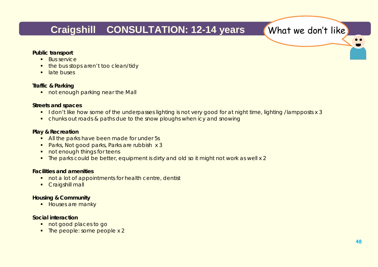## **Craigshill CONSULTATION: 12-14 years What we don't like**

### **Public transport**

- **Bus service**
- the bus stops aren't too clean/tidy
- **I** late buses

### **Traffic & Parking**

not enough parking near the Mall

### **Streets and spaces**

- I don't like how some of the underpasses lighting is not very good for at night time, lighting /lampposts x 3
- **•** chunks out roads & paths due to the snow ploughs when icy and snowing

### **Play & Recreation**

- All the parks have been made for under 5s
- Parks, Not good parks, Parks are rubbish x 3
- not enough things for teens
- The parks could be better, equipment is dirty and old so it might not work as well x 2

### **Facilities and amenities**

- not a lot of appointments for health centre, dentist
- **Craigshill mall**

### **Housing & Community**

**Houses are manky** 

### **Social interaction**

- **not good places to go**
- The people: some people x 2

 $\bullet$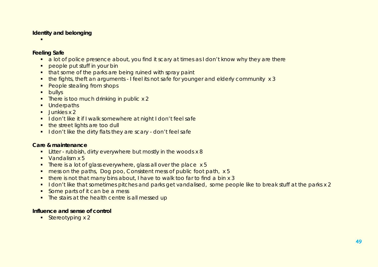### **Identity and belonging**

ı

### **Feeling Safe**

- a lot of police presence about, you find it scary at times as I don't know why they are there
- **PEOPLE put stuff in your bin**
- **that some of the parks are being ruined with spray paint**
- the fights, theft an arguments I feel its not safe for younger and elderly community x 3
- People stealing from shops
- **bullys**
- **There is too much drinking in public x 2**
- **Underpaths**
- $\blacksquare$  Junkies x 2
- **I** don't like it if I walk somewhere at night I don't feel safe
- the street lights are too dull
- I don't like the dirty flats they are scary don't feel safe

### **Care & maintenance**

- **EXECT** rubbish, dirty everywhere but mostly in the woods x 8
- Vandalism x 5
- There is a lot of glass everywhere, glass all over the place x 5
- **number** mess on the paths, Dog poo, Consistent mess of public foot path, x 5
- there is not that many bins about, I have to walk too far to find a bin x 3
- I don't like that sometimes pitches and parks get vandalised, some people like to break stuff at the parks x 2
- Some parts of it can be a mess
- The stairs at the health centre is all messed up

### **Influence and sense of control**

Stereotyping  $x 2$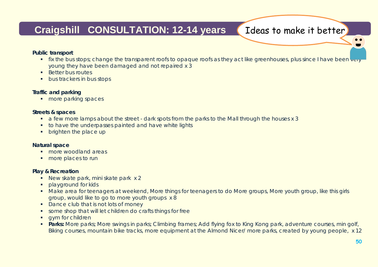## Craigshill CONSULTATION: 12-14 years (Ideas to make it better)

### **Public transport**

- **fix the bus stops; change the transparent roofs to opaque roofs as they act like greenhouses, plus since I have been very** young they have been damaged and not repaired x 3
- **Better bus routes**
- **bus trackers in bus stops**

### **Traffic and parking**

**nore parking spaces** 

### **Streets & spaces**

- a few more lamps about the street dark spots from the parks to the Mall through the houses x 3
- **to have the underpasses painted and have white lights**
- **•** brighten the place up

### **Natural space**

- **F** more woodland areas
- **more places to run**

### **Play & Recreation**

- New skate park, mini skate park x 2
- **Playground for kids**
- Make area for teenagers at weekend, More things for teenagers to do More groups, More youth group, like this girls group, would like to go to more youth groups x 8
- Dance club that is not lots of money
- some shop that will let children do crafts things for free
- **qym for children**
- **Parks:** More parks; More swings in parks; Climbing frames; Add flying fox to King Kong park, adventure courses, min golf, Biking courses, mountain bike tracks, more equipment at the Almond Nicer/ more parks, created by young people, x 12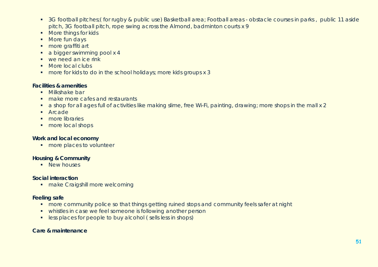- <sup>3</sup> 3G football pitches; (for rugby & public use) Basketball area; Football areas obstacle courses in parks, public 11 aside pitch, 3G football pitch, rope swing across the Almond, badminton courts x 9
- **More things for kids**
- More fun days
- **more graffiti art**
- a bigger swimming pool x 4
- we need an ice rink
- More local clubs
- **n** more for kids to do in the school holidays; more kids groups x 3

### **Facilities & amenities**

- **Milkshake bar**
- make more cafes and restaurants
- a shop for all ages full of activities like making slime, free Wi-Fi, painting, drawing; more shops in the mall x 2
- **Arcade**
- **nore** libraries
- **more local shops**

### **Work and local economy**

**nore places to volunteer** 

### **Housing & Community**

**New houses** 

### **Social interaction**

**n** make Craigshill more welcoming

### **Feeling safe**

- **nore community police so that things getting ruined stops and community feels safer at night**
- whistles in case we feel someone is following another person
- **EXECTE FOR PEOPLE IS NOTED EXECTED** Less in shops)

### **Care & maintenance**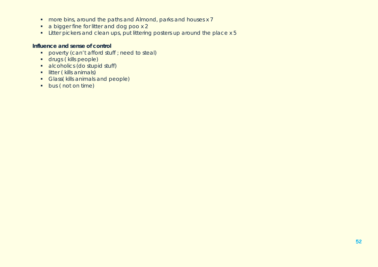- **nore bins, around the paths and Almond, parks and houses x 7**
- a bigger fine for litter and dog poo x 2
- Litter pickers and clean ups, put littering posters up around the place x 5

### **Influence and sense of control**

- **Proverty (can't afford stuff ; need to steal)**
- **drugs ( kills people)**
- **alcoholics (do stupid stuff)**
- **I** litter ( kills animals)
- Glass( kills animals and people)
- **bus (not on time)**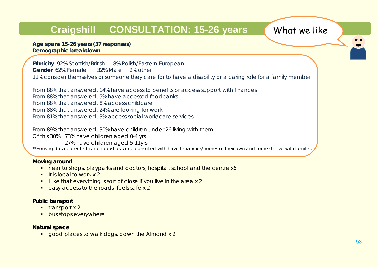# **Craigshill CONSULTATION: 15-26 years** What we like

**Age spans 15-26 years (37 responses) Demographic breakdown**

**Ethnicity**: 92% Scottish/British 8% Polish/Eastern European **Gender**: 62% Female 32% Male 2% other 11% consider themselves or someone they care for to have a disability or a caring role for a family member

From 88% that answered, 14% have access to benefits or access support with finances From 88% that answered, 5% have accessed foodbanks From 88% that answered, 8% access childcare From 88% that answered, 24% are looking for work From 81% that answered, 3% access social work/care services

From 89% that answered, 30% have children under 26 living with them Of this 30% 73% have children aged 0-4 yrs 27% have children aged 5-11yrs *\*\*Housing data collected is not robust as some consulted with have tenancies/homes of their own and some still live with families*

### **Moving around**

- near to shops, playparks and doctors, hospital, school and the centre x6
- $\blacksquare$  It is local to work x 2
- $\blacksquare$  I like that everything is sort of close if you live in the area x 2
- easy access to the roads- feels safe x 2

### **Public transport**

- $\blacksquare$  transport x 2
- **bus stops everywhere**

### **Natural space**

good places to walk dogs, down the Almond x 2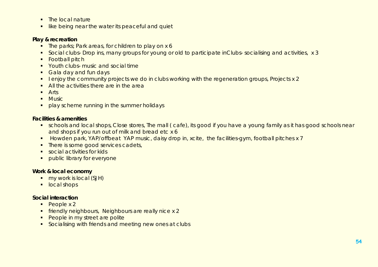- $\blacksquare$  The local nature
- **I** like being near the water its peaceful and quiet

### **Play & recreation**

- The parks; Park areas, for children to play on x 6
- Social clubs- Drop ins, many groups for young or old to participate inClubs- socialising and activities, x 3
- **Football pitch**
- **•** Youth clubs- music and social time
- Gala day and fun days
- **I** lenjoy the community projects we do in clubs working with the regeneration groups, Projects x 2
- All the activities there are in the area
- **Arts**
- $M$ usic
- **play scheme running in the summer holidays**

### **Facilities & amenities**

- **•** schools and local shops, Close stores, The mall (cafe), its good if you have a young family as it has good schools near and shops if you run out of milk and bread etc x 6
- Howden park, YAP/offbeat YAP music, daisy drop in, xcite, the facilities-gym, football pitches x 7
- There is some good services cadets,
- **social activities for kids**
- **Public library for everyone**

### **Work & local economy**

- my work is local (SJH)
- **local shops**

### **Social interaction**

- $\blacksquare$  People x 2
- **filter in the independent of the interior of the contract of the interior interior in the independent of the i**
- People in my street are polite
- **Socialising with friends and meeting new ones at clubs**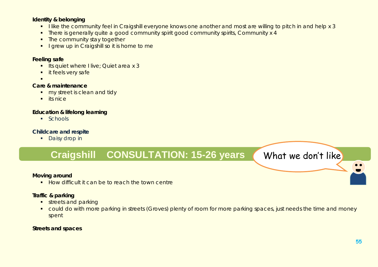### **Identity & belonging**

- I like the community feel in Craigshill everyone knows one another and most are willing to pitch in and help x 3
- There is generally quite a good community spirit good community spirits, Community x 4
- The community stay together
- I grew up in Craigshill so it is home to me

### **Feeling safe**

- **Its quiet where I live; Quiet area x 3**
- **it feels very safe**
- .

### **Care & maintenance**

- **my street is clean and tidy**
- $\blacksquare$  its nice

### **Education & lifelong learning**

 $Schools$ 

### **Childcare and respite**

**Daisy drop in** 

## Craigshill CONSULTATION: 15-26 years What we don't like

### **Moving around**

How difficult it can be to reach the town centre

### **Traffic & parking**

- streets and parking
- **•** could do with more parking in streets (Groves) plenty of room for more parking spaces, just needs the time and money spent

### **Streets and spaces**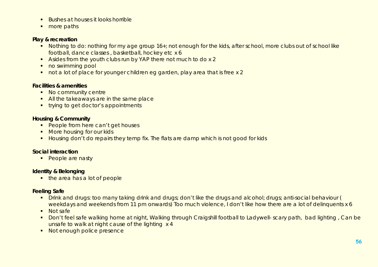- Bushes at houses it looks horrible
- more paths

### **Play & recreation**

- Nothing to do: nothing for my age group 16+; not enough for the kids, after school, more clubs out of school like football, dance classes , basketball, hockey etc x 6
- Asides from the youth clubs run by YAP there not much to do x 2
- no swimming pool
- not a lot of place for younger children eg garden, play area that is free x 2

### **Facilities & amenities**

- No community centre
- All the takeaways are in the same place
- **trying to get doctor's appointments**

### **Housing & Community**

- People from here can't get houses
- **More housing for our kids**
- Housing don't do repairs they temp fix. The flats are damp which is not good for kids

### **Social interaction**

**People are nasty** 

### **Identity & Belonging**

• the area has a lot of people

### **Feeling Safe**

- **Drink and drugs: too many taking drink and drugs; don't like the drugs and alcohol; drugs; anti-social behaviour (** weekdays and weekends from 11 pm onwards) Too much violence, I don't like how there are a lot of delinquents x 6
- Not safe
- Don't feel safe walking home at night, Walking through Craigshill football to Ladywell- scary path, bad lighting, Can be unsafe to walk at night cause of the lighting x 4
- Not enough police presence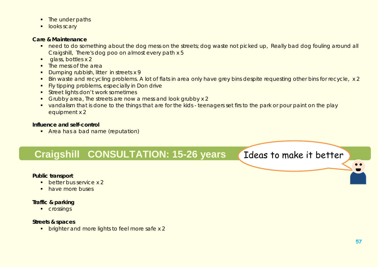- The under paths
- **looks scary**

### **Care & Maintenance**

- need to do something about the dog mess on the streets; dog waste not picked up, Really bad dog fouling around all Craigshill, There's dog poo on almost every path x 5
- **glass, bottles x 2**
- The mess of the area
- Dumping rubbish, litter in streets x 9
- Bin waste and recycling problems. A lot of flats in area only have grey bins despite requesting other bins for recycle, x 2
- **Fivally in Don drive Figure** problems, especially in Don drive
- **Street lights don't work sometimes**
- Grubby area, The streets are now a mess and look grubby x 2
- vandalism that is done to the things that are for the kids teenagers set firs to the park or pour paint on the play equipment x 2

### **Influence and self-control**

**Area has a bad name (reputation)** 

## **Craigshill CONSULTATION: 15-26 years** Ideas to make it better

### **Public transport**

- **better bus service x 2**
- **have more buses**

### **Traffic & parking**

**Crossings** 

### **Streets & spaces**

**•** brighter and more lights to feel more safe x 2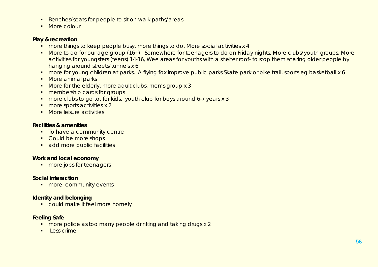- Benches/seats for people to sit on walk paths/areas
- More colour

### **Play & recreation**

- more things to keep people busy, more things to do, More social activities x 4
- More to do for our age group (16+), Somewhere for teenagers to do on Friday nights, More clubs/youth groups, More activities for youngsters (teens) 14-16, Wee areas for youths with a shelter roof- to stop them scaring older people by hanging around streets/tunnels x 6
- **number** for young children at parks, A flying fox improve public parks Skate park or bike trail, sports eg basketball x 6
- More animal parks
- More for the elderly, more adult clubs, men's group x 3
- **n** membership cards for groups
- **nore clubs to go to, for kids, youth club for boys around 6-7 years x 3**
- **more sports activities x 2**
- **More leisure activities**

### **Facilities & amenities**

- To have a community centre
- Could be more shops
- **add more public facilities**

### **Work and local economy**

**nore jobs for teenagers** 

### **Social interaction**

**nore community events** 

### **Identity and belonging**

could make it feel more homely

### **Feeling Safe**

- **nore police as too many people drinking and taking drugs x 2**
- $\blacksquare$  Less crime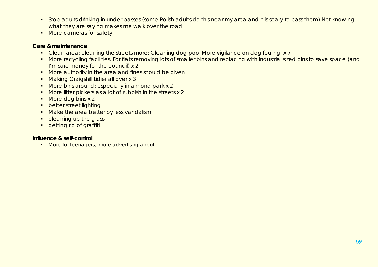- **Stop adults drinking in under passes (some Polish adults do this near my area and it is scary to pass them) Not knowing** what they are saying makes me walk over the road
- **More cameras for safety**

### **Care & maintenance**

- Clean area: cleaning the streets more; Cleaning dog poo, More vigilance on dog fouling x 7
- **More recycling facilities. For flats removing lots of smaller bins and replacing with industrial sized bins to save space (and** I'm sure money for the council) x 2
- **More authority in the area and fines should be given**
- **Making Craigshill tidier all over x 3**
- More bins around; especially in almond park x 2
- More litter pickers as a lot of rubbish in the streets x 2
- More dog bins x 2
- **•** better street lighting
- Make the area better by less vandalism
- cleaning up the glass
- **e** getting rid of graffiti

### **Influence & self-control**

More for teenagers, more advertising about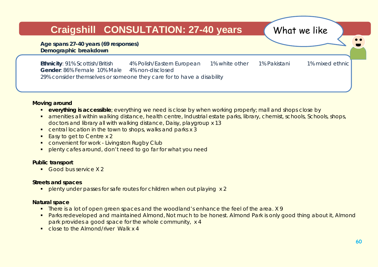## **Craigshill CONSULTATION: 27-40 years What we like**

**Age spans 27-40 years (69 responses) Demographic breakdown**

**Ethnicity**: 91% Scottish/British 4% Polish/Eastern European 1% white other 1% Pakistani 1% mixed ethnic **Gender**: 86% Female 10% Male 4% non-disclosed 29% consider themselves or someone they care for to have a disability

### **Moving around**

- **everything is accessible**; everything we need is close by when working properly; mall and shops close by
- **amenities all within walking distance, health centre, Industrial estate parks, library, chemist, schools, Schools, shops,** doctors and library all with walking distance, Daisy, playgroup x 13
- **•** central location in the town to shops, walks and parks x 3
- Easy to get to Centre x 2
- **CONVENIENT FOR WORK Livingston Rugby Club**
- plenty cafes around, don't need to go far for what you need

### **Public transport**

Good bus service X2

### **Streets and spaces**

**•** plenty under passes for safe routes for children when out playing x 2

### **Natural space**

- There is a lot of open green spaces and the woodland's enhance the feel of the area. X 9
- **Parks redeveloped and maintained Almond, Not much to be honest. Almond Park is only good thing about it, Almond** park provides a good space for the whole community, x 4
- **Close to the Almond/river Walk x 4**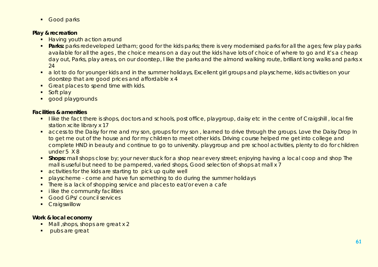**Good parks** 

### **Play & recreation**

- **Having youth action around**
- **Parks:** parks redeveloped Letham; good for the kids parks; there is very modernised parks for all the ages; few play parks available for all the ages, the choice means on a day out the kids have lots of choice of where to go and it's a cheap day out, Parks, play areas, on our doorstep, I like the parks and the almond walking route, brilliant long walks and parks x 24
- **a** lot to do for younger kids and in the summer holidays, Excellent girl groups and playscheme, kids activities on your doorstep that are good prices and affordable x 4
- Great places to spend time with kids.
- Soft play
- **qood playgrounds**

### **Facilities & amenities**

- I like the fact there is shops, doctors and schools, post office, playgroup, daisy etc in the centre of Craigshill, local fire station xcite library x 17
- **EXTERNITHS THE DAIST CONTEXNITY SON** is access to the Daisy Drop In is and my son , learned to drive through the groups. Love the Daisy Drop In to get me out of the house and for my children to meet other kids. Driving course helped me get into college and complete HND in beauty and continue to go to university. playgroup and pre school activities, plenty to do for children under 5 X 8
- **Shops:** mall shops close by; your never stuck for a shop near every street; enjoying having a local coop and shop The mall is useful but need to be pampered, varied shops, Good selection of shops at mall x 7
- **•** activities for the kids are starting to pick up quite well
- **•** playscheme come and have fun something to do during the summer holidays
- There is a lack of shopping service and places to eat/or even a cafe
- **ilike the community facilities**
- **Good GPs/ council services**
- **Craigswillow**

### **Work & local economy**

- Mall , shops, shops are great x 2
- **pubs are great**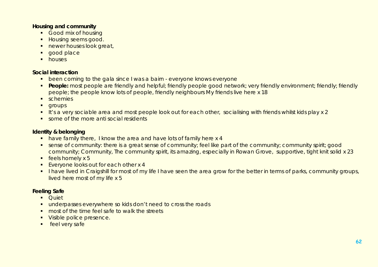### **Housing and community**

- **Good mix of housing**
- **Housing seems good.**
- **newer houses look great,**
- **qood place**
- **houses**

### **Social interaction**

- **•** been coming to the gala since I was a bairn everyone knows everyone
- **People:** most people are friendly and helpful; friendly people good network; very friendly environment; friendly; friendly people; the people know lots of people, friendly neighbours My friends live here x 18
- **schemies**
- **qroups**
- It's a very sociable area and most people look out for each other, socialising with friends whilst kids play x 2
- some of the more anti social residents

### **Identity & belonging**

- have family there, I know the area and have lots of family here x 4
- sense of community: there is a great sense of community; feel like part of the community; community spirit; good community; Community, The community spirit, its amazing, especially in Rowan Grove, supportive, tight knit solid x 23
- $\overline{\phantom{a}}$  feels homely x 5
- Everyone looks out for each other x 4
- I have lived in Craigshill for most of my life I have seen the area grow for the better in terms of parks, community groups, lived here most of my life x 5

### **Feeling Safe**

- Quiet
- **underpasses everywhere so kids don't need to cross the roads**
- most of the time feel safe to walk the streets
- **Visible police presence.**
- **feel very safe**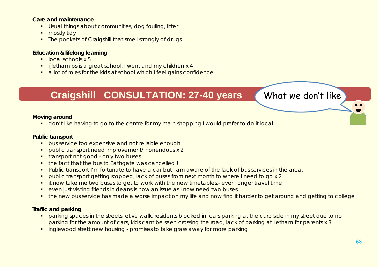### **Care and maintenance**

- **Usual things about communities, dog fouling, litter**
- mostly tidy
- The pockets of Craigshill that smell strongly of drugs

### **Education & lifelong learning**

- $\blacksquare$  local schools x 5
- **illetham ps is a great school. I went and my children x 4**
- a lot of roles for the kids at school which I feel gains confidence

## **Traigshill CONSULTATION: 27-40 years (What we don't like)**

### **Moving around**

don't like having to go to the centre for my main shopping I would prefer to do it local

### **Public transport**

- **bus service too expensive and not reliable enough**
- public transport need improvement/ horrendous x 2
- **transport not good only two buses**
- the fact that the bus to Bathgate was cancelled!!
- **Public transport I'm fortunate to have a car but I am aware of the lack of bus services in the area.**
- public transport getting stopped, lack of buses from next month to where I need to go x 2
- **i** it now take me two buses to get to work with the new timetables,- even longer travel time
- **EXECTE FIGHT FIGHTS IN A 2015 CONTROVER IS NOW A**  $\overline{a}$  and issue as I now need two buses
- **the new bus service has made a worse impact on my life and now find it harder to get around and getting to college**

### **Traffic and parking**

- **•** parking spaces in the streets, etive walk, residents blocked in, cars parking at the curb side in my street due to no parking for the amount of cars, kids cant be seen crossing the road, lack of parking at Letham for parents x 3
- **i** inglewood strett new housing promises to take grass away for more parking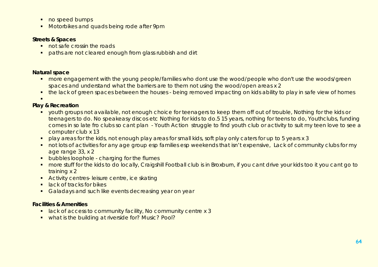- **no speed bumps**
- **Motorbikes and quads being rode after 9pm**

### **Streets & Spaces**

- not safe crossin the roads
- **•** paths are not cleared enough from glass rubbish and dirt

### **Natural space**

- **•** more engagement with the young people/families who dont use the wood/people who don't use the woods/green spaces and understand what the barriers are to them not using the wood/open areas x 2
- **the lack of green spaces between the houses being removed impacting on kids ability to play in safe view of homes**

.

### **Play & Recreation**

- youth groups not available, not enough choice for teenagers to keep them off out of trouble, Nothing for the kids or teenagers to do. No speakeasy discos etc Nothing for kids to do.5 15 years, nothing for teens to do, Youthclubs, funding comes in so late fro clubs so cant plan - Youth Action struggle to find youth club or activity to suit my teen love to see a computer club x 13
- **•** play areas for the kids, not enough play areas for small kids, soft play only caters for up to 5 years x 3
- not lots of activities for any age group esp families esp weekends that isn't expensive, Lack of community clubs for my age range 33, x 2
- **•** bubbles loophole charging for the flumes
- more stuff for the kids to do locally, Craigshill Football club is in Broxburn, if you cant drive your kids too it you cant go to training x 2
- **Activity centres-leisure centre, ice skating**
- **E** lack of tracks for bikes
- Galadays and such like events decreasing year on year

### **Facilities & Amenities**

- **EXTERN** 1 ack of access to community facility, No community centre x 3
- what is the building at riverside for? Music? Pool?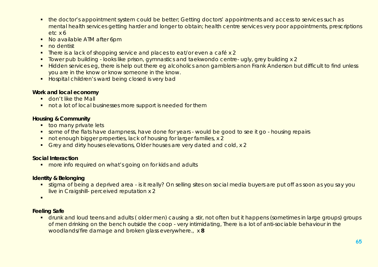- the doctor's appointment system could be better; Getting doctors' appointments and access to services such as mental health services getting harder and longer to obtain; health centre services very poor appointments, prescriptions etc x 6
- No available ATM after 6pm
- no dentist
- **There is a lack of shopping service and places to eat/or even a café x 2**
- Tower pub building looks like prison, gymnastics and taekwondo centre- ugly, grey building x 2
- Hidden services eg, there is help out there eg alcoholics anon gamblers anon Frank Anderson but difficult to find unless you are in the know or know someone in the know.
- **Hospital children's ward being closed is very bad**

### **Work and local economy**

- **don't like the Mall**
- not a lot of local businesses more support is needed for them

### **Housing & Community**

- **too many private lets**
- **•** some of the flats have dampness, have done for years would be good to see it go housing repairs
- not enough bigger properties, lack of housing for larger families, x 2
- Grey and dirty houses elevations, Older houses are very dated and cold, x 2

### **Social Interaction**

**number** more info required on what's going on for kids and adults

### **Identity & Belonging**

**stigma of being a deprived area - is it really? On selling sites on social media buyers are put off as soon as you say you** live in Craigshill- perceived reputation x 2

 $\blacksquare$ 

### **Feeling Safe**

**•** drunk and loud teens and adults (older men) causing a stir, not often but it happens (sometimes in large groups) groups of men drinking on the bench outside the coop - very intimidating, There is a lot of anti-sociable behaviour in the woodlands/fire damage and broken glass everywhere., x **8**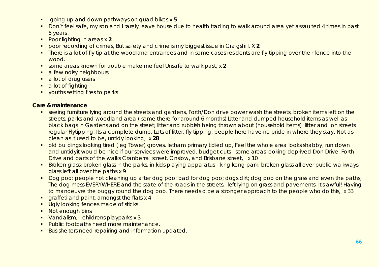- going up and down pathways on quad bikes x **5**
- Don't feel safe, my son and i rarely leave house due to health trading to walk around area yet assaulted 4 times in past 5 years .
- Poor lighting in areas x **2**
- poor recording of crimes, But safety and crime is my biggest issue in Craigshill. X **2**
- There is a lot of fly tip at the woodland entrances and in some cases residents are fly tipping over their fence into the wood.
- some areas known for trouble make me feel Unsafe to walk past, x **2**
- **a** few noisy neighbours
- a lot of drug users
- a lot of fighting
- vouths setting fires to parks

### **Care & maintenance**

- **Seeing furniture lying around the streets and gardens, Forth/Don drive power wash the streets, broken items left on the** streets, parks and woodland area ( some there for around 6 months) Litter and dumped household items as well as black bags in Gardens and on the street; litter and rubbish being thrown about (household items) litter and on streets regular Flytipping, Its a complete dump. Lots of litter, fly tipping, people here have no pride in where they stay. Not as clean as it used to be, untidy looking, x **28**
- old buildings looking tired (eg Tower) groves, letham primary tidied up, Feel the whole area looks shabby, run down and untidyit would be nice if our serviecs were improved, budget cuts - some areas looking deprived Don Drive, Forth Drive and parts of the walks Cranberra street, Onslow, and Brisbane street, x 10
- **Broken glass: broken glass in the parks, in kids playing apparatus king kong park; broken glass all over public walkways;** glass left all over the paths x 9
- Dog poo: people not cleaning up after dog poo; bad for dog poo; dogs dirt; dog poo on the grass and even the paths, The dog mess EVERYWHERE and the state of the roads in the streets, left lying on grass and pavements. It's awful! Having to manoeuvre the buggy round the dog poo. There needs o be a stronger approach to the people who do this, x 33
- **qraffeti and paint, amongst the flats x 4**
- **Ugly looking fences made of sticks**
- **Not enough bins**
- Vandalism, childrens playparks x 3
- **Public footpaths need more maintenance.**
- Bus shelters need repairing and information updated.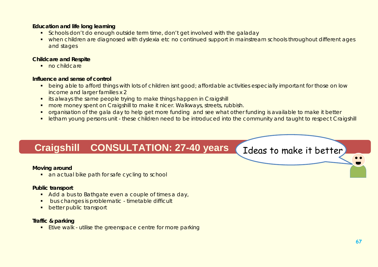### **Education and life long learning**

- **Schools don't do enough outside term time, don't get involved with the galaday**
- when children are diagnosed with dyslexia etc no continued support in mainstream schools throughout different ages and stages

### **Childcare and Respite**

no childcare

### **Influence and sense of control**

- **•** being able to afford things with lots of children isnt good; affordable activities especially important for those on low income and larger families x 2
- **i** its always the same people trying to make things happen in Craigshill
- **number money spent on Craigshill to make it nicer. Walkways, streets, rubbish.**
- organisation of the gala day to help get more funding and see what other funding is available to make it better
- letham young persons unit these children need to be introduced into the community and taught to respect Craigshill

## Craigshill CONSULTATION: 27-40 years (Ideas to make it better

### **Moving around**

**an actual bike path for safe cycling to school** 

### **Public transport**

- Add a bus to Bathgate even a couple of times a day,
- bus changes is problematic timetable difficult
- **•** better public transport

### **Traffic & parking**

**Etive walk - utilise the greenspace centre for more parking**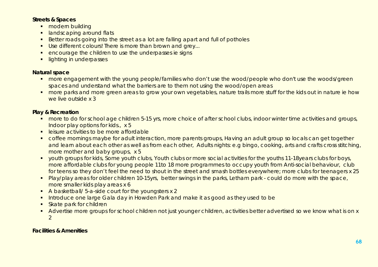### **Streets & Spaces**

- **modern building**
- **Indicaping around flats**
- Better roads going into the street as a lot are falling apart and full of potholes
- Use different colours! There is more than brown and grey...
- encourage the children to use the underpasses ie signs
- **Ilighting in underpasses**

### **Natural space**

- **•** more engagement with the young people/families who don't use the wood/people who don't use the woods/green spaces and understand what the barriers are to them not using the wood/open areas
- **numore parks and more green areas to grow your own vegetables, nature trails more stuff for the kids out in nature ie how** we live outside x 3

### **Play & Recreation**

- **number on the form school age children 5-15 yrs, more choice of after school clubs, indoor winter time activities and groups,** Indoor play options for kids., x 5
- **EXEC** leisure activities to be more affordable
- **•** coffee mornings maybe for adult interaction, more parents groups, Having an adult group so locals can get together and learn about each other as well as from each other, Adults nights: e.g bingo, cooking, arts and crafts cross stitching, more mother and baby groups, x 5
- youth groups for kids, Some youth clubs, Youth clubs or more social activities for the youths 11-18 years clubs for boys, more affordable clubs for young people 11to 18 more programmes to occupy youth from Anti-social behaviour, club for teens so they don't feel the need to shout in the street and smash bottles everywhere; more clubs for teenagers x 25
- **Play/play areas for older children 10-15yrs, better swings in the parks, Letham park could do more with the space,** more smaller kids play areas x 6
- A basketball/ 5-a-side court for the youngsters x 2
- **Introduce one large Gala day in Howden Park and make it as good as they used to be**
- **Skate park for children**
- Advertise more groups for school children not just younger children, activities better advertised so we know what is on x 2

### **Facilities & Amenities**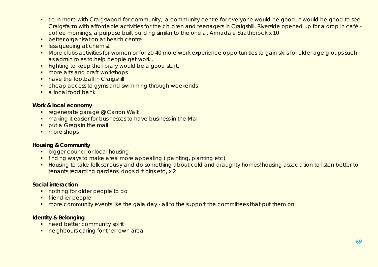- **tie in more with Craigswood for community, a community centre for everyone would be good, it would be good to see** Craigsfarm with affordable activities for the children and teenagers in Craigshill, Riverside opened up for a drop in café coffee mornings, a purpose built building similar to the one at Armadale Strathbrock x 10
- **better organisation at health centre**
- **less queuing at chemist**
- More clubs activities for women or for 20-40 more work experience opportunities to gain skills for older age groups such as admin roles to help people get work .
- Fighting to keep the library would be a good start.
- more arts and craft workshops
- have the football in Craigshill
- **•** cheap access to gyms and swimming through weekends
- $\blacksquare$  a local food bank

### **Work & local economy**

- **regenerate garage @ Carron Walk**
- **naking it easier for businesses to have business in the Mall**
- **•** put a Greas in the mall
- more shops

### **Housing & Community**

- **bigger council or local housing**
- finding ways to make area more appealing ( painting, planting etc)
- Housing to take folk seriously and do something about cold and draughty homes! housing association to listen better to tenants regarding gardens, dogs dirt bins etc, x 2

### **Social interaction**

- **nothing for older people to do**
- **friendlier people**
- **•** more community events like the gala day all to the support the committees that put them on

### **Identity & Belonging**

- need better community spirit
- **neighbours caring for their own area**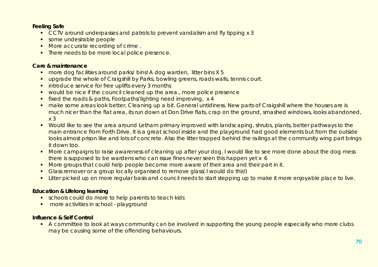### **Feeling Safe**

- **CCTV** around underpasses and patrols to prevent vandalism and fly tipping x 3
- some undesirable people
- More accurate recording of crime.
- There needs to be more local police presence.

### **Care & maintenance**

- more dog facilities around parks/ bins! A dog warden, litter bins X 5
- **upgrade the whole of Craigshill by Parks, bowling greens, roads walls, tennis court.**
- **introduce service for free uplifts every 3 months**
- **•** would be nice if the council cleaned up the area., more police presence
- **fixed the roads & paths, Footpaths/lighting need improving, x 4**
- make some areas look better, Cleaning up a bit. General untidiness. New parts of Craigshill where the houses are is much nicer than the flat area, its run down at Don Drive flats, crap on the ground, smashed windows, looks abandoned, x 3
- Would like to see the area around Letham primary improved with landscaping, shrubs, plants, better pathways to the main entrance from Forth Drive. It is a great school inside and the playground had good elements but from the outside looks almost prison like and lots of concrete. Also the litter trapped behind the railings at the community wing part brings it down too.
- More campaigns to raise awareness of cleaning up after your dog. I would like to see more done about the dog mess there is supposed to be wardens who can issue fines never seen this happen yet x 6
- More groups that could help people become more aware of their area and their part in it.
- Glass remover or a group locally organised to remove glass(I would do this!)
- **EXTER 19 Exter picked up on more regular basis and council needs to start stepping up to make it more enjoyable place to live.**

### **Education & Lifelong learning**

- **EXECT** schools could do more to help parents to teach kids
- **nore activities in school playground**

### **Influence & Self Control**

A committee to look at ways community can be involved in supporting the young people especially who more clubs may be causing some of the offending behaviours.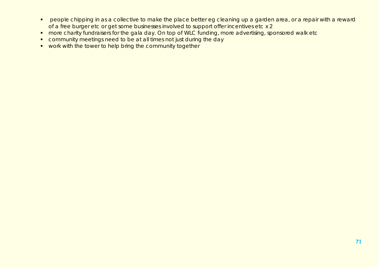- **People chipping in as a collective to make the place better eg cleaning up a garden area, or a repair with a reward** of a free burger etc or get some businesses involved to support offer incentives etc x 2
- **number charity fundraisers for the gala day. On top of WLC funding, more advertising, sponsored walk etc**
- community meetings need to be at all times not just during the day
- **•** work with the tower to help bring the community together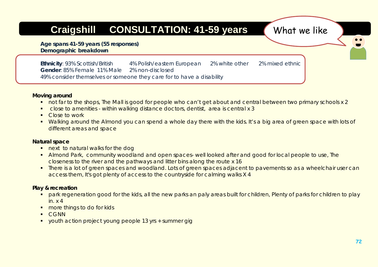# **Craigshill CONSULTATION: 41-59 years What we like**

**Age spans 41-59 years (55 responses) Demographic breakdown**

**Ethnicity**: 93% Scottish/British 4% Polish/eastern European 2% white other 2% mixed ethnic **Gender**: 85% Female 11% Male 2% non-disclosed 49% consider themselves or someone they care for to have a disability

### **Moving around**

- not far to the shops, The Mall is good for people who can't get about and central between two primary schools x 2
- close to amenities within walking distance doctors, dentist, area is central x 3
- **Close to work**
- Walking around the Almond you can spend a whole day there with the kids. It's a big area of green space with lots of different areas and space

### **Natural space**

- **next to natural walks for the dog**
- Almond Park, community woodland and open spaces- well looked after and good for local people to use, The closeness to the river and the pathways and litter bins along the route x 16
- **There is a lot of green spaces and woodland. Lots of green spaces adjacent to pavements so as a wheelchair user can** access them, It's got plenty of access to the countryside for calming walks X 4

### **Play & recreation**

- park regeneration good for the kids, all the new parks an paly areas built for children, Plenty of parks for children to play in. x 4
- **nore things to do for kids**
- **CGNN**
- youth action project young people 13 yrs + summer gig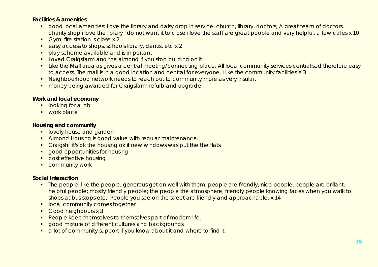#### **Facilities & amenities**

- **qood local amenities: Love the library and daisy drop in service, church, library, doctors; A great team of doctors,** charity shop i love the library i do not want it to close i love the staff are great people and very helpful, a few cafes x 10
- Gym, fire station is close x 2
- easy access to shops, schools library, dentist etc x 2
- **play scheme available and is important**
- **Loved Craigsfarm and the almond if you stop building on it**
- **Like the Mall area as gives a central meeting/connecting place. All local community services centralised therefore easy** to access. The mall is in a good location and central for everyone. I like the community facilities X 3
- Neighbourhood network needs to reach out to community more as very insular.
- **number** money being awarded for Craigsfarm refurb and upgrade

#### **Work and local economy**

- **-** looking for a job
- work place

#### **Housing and community**

- **I** lovely house and garden
- Almond Housing is good value with regular maintenance.
- **Craigshil it's ok the housing ok if new windows was put the the flats**
- **qood opportunities for housing**
- **Cost effective housing**
- **COMMUNITY WORK**

#### **Social Interaction**

- The people: like the people; generous get on well with them; people are friendly; nice people; people are brillant; helpful people; mostly friendly people; the people the atmosphere; friendly people knowing faces when you walk to shops at bus stops etc, People you see on the street are friendly and approachable. x 14
- **In local community comes together**
- Good neighbours x 3
- **People keep themselves to themselves part of modern life.**
- **good mixture of different cultures and backgrounds**
- a lot of community support if you know about it and where to find it.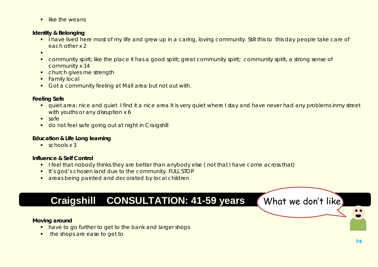$\blacksquare$  like the weans

#### **Identity & Belonging**

- I have lived here most of my life and grew up in a caring, loving community. Still this to this day people take care of each other x 2
- $\blacksquare$
- community spirit; like the place it has a good spirit; great community spirit; community spirit, a strong sense of community x 14
- church gives me strength
- **Family local**
- Got a community feeling at Mall area but not out with.

#### **Feeling Safe**

- quiet area; nice and quiet I find it a nice area It is very quiet where I stay and have never had any problems inmy street with youths or any disruption x 6
- $s$ afe
- **do not feel safe going out at night in Craigshill**

#### **Education & Life Long learning**

 $\sqrt{\frac{2}{x}}$  schools x 3

#### **Influence & Self Control**

- **I** feel that nobody thinks they are better than anybody else (not that I have come across that)
- It's god's chosen land due to the community. FULL STOP
- **a** areas being painted and decorated by local children

## **Craigshill CONSULTATION: 41-59 years What we don't like**

#### **Moving around**

- have to go further to get to the bank and larger shops
- **the shops are ease to get to**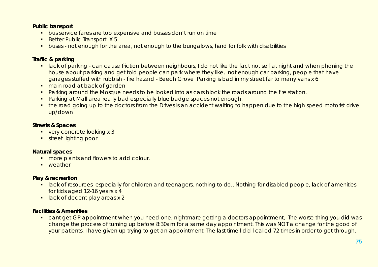#### **Public transport**

- **bus service fares are too expensive and busses don't run on time**
- Better Public Transport. X 5
- **buses not enough for the area, not enough to the bungalows, hard for folk with disabilities**

#### **Traffic & parking**

- lack of parking can cause friction between neighbours, I do not like the fact not self at night and when phoning the house about parking and get told people can park where they like, not enough car parking, people that have garages stuffed with rubbish - fire hazard - Beech Grove Parking is bad in my street far to many vans x 6
- **n** main road at back of garden
- **Parking around the Mosque needs to be looked into as cars block the roads around the fire station.**
- **Parking at Mall area really bad especially blue badge spaces not enough.**
- **the road going up to the doctors from the Drives is an accident waiting to happen due to the high speed motorist drive** up/down

#### **Streets & Spaces**

- very concrete looking x 3
- **street lighting poor**

#### **Natural spaces**

- **nore plants and flowers to add colour.**
- **u** weather

### **Play & recreation**

- **I** lack of resources especially for children and teenagers. nothing to do,, Nothing for disabled people, lack of amenities for kids aged 12-16 years x 4
- lack of decent play areas x 2

#### **Facilities & Amenities**

**•** cant get GP appointment when you need one; nightmare getting a doctors appointment, The worse thing you did was change the process of turning up before 8:30am for a same day appointment. This was NOT a change for the good of your patients. I have given up trying to get an appointment. The last time l did l called 72 times in order to get through.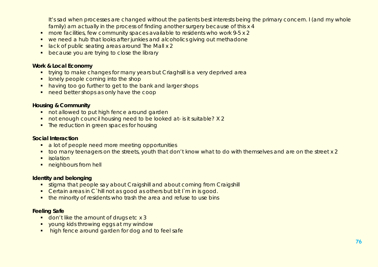It's sad when processes are changed without the patients best interests being the primary concern. I (and my whole family) am actually in the process of finding another surgery because of this x 4

- more facilities, few community spaces available to residents who work 9-5 x 2
- we need a hub that looks after junkies and alcoholics giving out methadone
- **I** lack of public seating areas around The Mall x 2
- **because you are trying to close the library**

#### **Work & Local Economy**

- **trying to make changes for many years but Criaghsill is a very deprived area**
- **I** lonely people coming into the shop
- having too go further to get to the bank and larger shops
- need better shops as only have the coop

#### **Housing & Community**

- not allowed to put high fence around garden
- not enough council housing need to be looked at- is it suitable? X 2
- The reduction in green spaces for housing

#### **Social Interaction**

- a lot of people need more meeting opportunities
- too many teenagers on the streets, youth that don't know what to do with themselves and are on the street x 2
- $\blacksquare$  isolation
- **neighbours from hell**

#### **Identity and belonging**

- **stigma that people say about Craigshill and about coming from Craigshill**
- Certain areas in C`hill not as good as others but bit I`m in is good.
- the minority of residents who trash the area and refuse to use bins

#### **Feeling Safe**

- don't like the amount of drugs etc x 3
- **v** young kids throwing eggs at my window
- high fence around garden for dog and to feel safe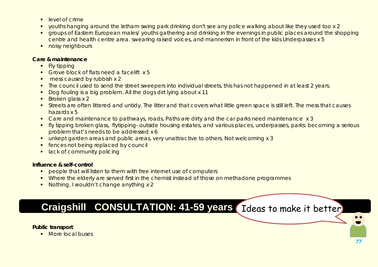- $\blacksquare$  level of crime
- youths hanging around the letham swing park drinking don't see any police walking about like they used too x 2
- **The Stroups of Eastern European males/ youths gathering and drinking in the evenings in public places around the shopping** centre and health centre area. swearing raised voices, and mannerism in front of the kids Underpasses x 5
- **noisy neighbours**

#### **Care & maintenance**

- Fly tipping
- Grove block of flats need a facelift x 5
- **mess caused by rubbish x 2**
- The council used to send the street sweepers into individual streets, this has not happened in at least 2 years.
- Dog fouling is a big problem. All the dogs dirt lying about x 11
- $\blacksquare$  Broken glass x 2
- Streets are often littered and untidy. The litter and that covers what little green space is still left. The mess that causes hazards x 5
- **Care and maintenance to pathways, roads, Paths are dirty and the car parks need maintenance x 3**
- **f** fly tipping broken glass, flytipping- outside housing estates, and various places, underpasses, parks: becoming a serious problem that's needs to be addressed x 6
- unkept garden areas and public areas, very unattractive to others. Not welcoming x 3
- **fences not being replaced by council**
- **I** lack of community policing

#### **Influence & self-control**

- **PEOPLE THAT WE DESCRIPT THAT WE ATTE THAT THE INCRYM PEOPLE IS A PEOPLE IS A PEOPLE IS A PEOPLE IS A PEOPLE ISL**
- Where the elderly are served first in the chemist instead of those on methadone programmes
- Nothing, I wouldn't change anything x 2

## **Craigshill CONSULTATION: 41-59 years** Ideas to make it better

#### **Public transport**

**More local buses**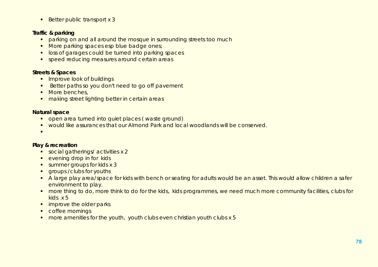$\blacksquare$  Better public transport x 3

#### **Traffic & parking**

- **•** parking on and all around the mosque in surrounding streets too much
- More parking spaces esp blue badge ones;
- **loss of garages could be turned into parking spaces**
- **speed reducing measures around certain areas**

#### **Streets & Spaces**

- **IMPROVE LOOK of buildings**
- Better paths so you don't need to go off pavement
- **More benches**,
- **naking street lighting better in certain areas**

#### **Natural space**

- open area turned into quiet places (waste ground)
- would like assurances that our Almond Park and local woodlands will be conserved.
- $\blacksquare$

### **Play & recreation**

- social gatherings/activities x 2
- **evening drop in for kids**
- summer groups for kids x 3
- **qroups / clubs for youths**
- A large play area/space for kids with bench or seating for adults would be an asset. This would allow children a safer environment to play.
- **nore thing to do, more think to do for the kids, kids programmes, we need much more community facilities, clubs for** kids x 5
- **·** improve the older parks
- **•** coffee mornings
- **•** more amenities for the youth, youth clubs even christian youth clubs x 5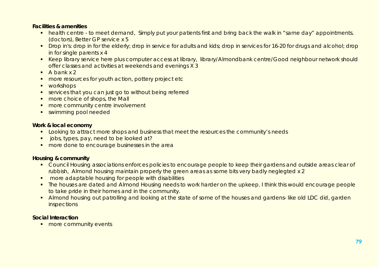#### **Facilities & amenities**

- health centre to meet demand, Simply put your patients first and bring back the walk in "same day" appointments. (doctors), Better GP service x 5
- Drop in's: drop in for the elderly; drop in service for adults and kids; drop in services for 16-20 for drugs and alcohol; drop in for single parents x 4
- Keep library service here plus computer access at library, library/Almondbank centre/Good neighbour network should offer classes and activities at weekends and evenings X 3
- $A$  bank x 2
- **nore resources for youth action, pottery project etc.**
- **•** workshops
- services that you can just go to without being referred
- **nore choice of shops, the Mall**
- **nore community centre involvement**
- **swimming pool needed**

#### **Work & local economy**

- **Looking to attract more shops and business that meet the resources the community's needs**
- **jobs, types, pay, need to be looked at?**
- **nore done to encourage businesses in the area**

#### **Housing & community**

- **Council Housing associations enforces policies to encourage people to keep their gardens and outside areas clear of** rubbish, Almond housing maintain properly the green areas as some bits very badly neglegted x 2
- **•** more adaptable housing for people with disabilities
- The houses are dated and Almond Housing needs to work harder on the upkeep. I think this would encourage people to take pride in their homes and in the community.
- Almond housing out patrolling and looking at the state of some of the houses and gardens- like old LDC did, garden inspections

#### **Social Interaction**

**nore community events**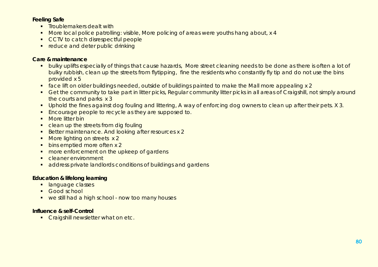#### **Feeling Safe**

- **F** Troublemakers dealt with
- More local police patrolling: visible, More policing of areas were youths hang about, x 4
- **CCTV** to catch disrespectful people
- **reduce and deter public drinking**

#### **Care & maintenance**

- **•** bulky uplifts especially of things that cause hazards, More street cleaning needs to be done as there is often a lot of bulky rubbish, clean up the streets from flytipping, fine the residents who constantly fly tip and do not use the bins provided x 5
- face lift on older buildings needed, outside of buildings painted to make the Mall more appealing x 2
- Get the community to take part in litter picks, Regular community litter picks in all areas of Craigshill, not simply around the courts and parks x 3
- **Uphold the fines against dog fouling and littering, A way of enforcing dog owners to clean up after their pets. X 3.**
- **Encourage people to recycle as they are supposed to.**
- **•** More litter bin
- clean up the streets from dig fouling
- Better maintenance. And looking after resources x 2
- More lighting on streets x 2
- **bins emptied more often x 2**
- **nore enforcement on the upkeep of gardens**
- **Cleaner environment**
- address private landlords conditions of buildings and gardens

### **Education & lifelong learning**

- **-** language classes
- **Good school**
- we still had a high school now too many houses

#### **Influence & self-Control**

**Craigshill newsletter what on etc.**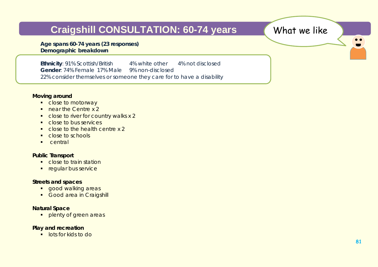## **Craigshill CONSULTATION: 60-74 years What we like**

**Age spans 60-74 years (23 responses) Demographic breakdown**

**Ethnicity**: 91% Scottish/British 4% white other 4% not disclosed **Gender**: 74% Female 17% Male 9% non-disclosed 22% consider themselves or someone they care for to have a disability

#### **Moving around**

- close to motorway
- near the Centre x 2
- close to river for country walks x 2
- **Close to bus services**
- close to the health centre x 2
- close to schools
- **Central**

#### **Public Transport**

- **Close to train station**
- **regular bus service**

#### **Streets and spaces**

- **qood walking areas**
- Good area in Craigshill

#### **Natural Space**

**Propenty of green areas** 

#### **Play and recreation**

**lots for kids to do** 

 $\bullet$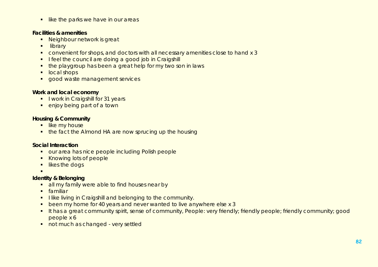$\blacksquare$  like the parks we have in our areas

#### **Facilities & amenities**

- **Neighbour network is great**
- **ullibrary**
- convenient for shops, and doctors with all necessary amenities close to hand x 3
- I feel the council are doing a good job in Craigshill
- the playgroup has been a great help for my two son in laws
- **local shops**
- **good waste management services**

#### **Work and local economy**

- **I** lwork in Craigshill for 31 years
- **e** enjoy being part of a town

#### **Housing & Community**

- **I**like my house
- the fact the Almond HA are now sprucing up the housing

#### **Social Interaction**

- **our area has nice people including Polish people**
- Knowing lots of people
- **If likes the dogs**
- $\blacksquare$

#### **Identity & Belonging**

- all my family were able to find houses near by
- **familiar**
- **I like living in Craigshill and belonging to the community.**
- **•** been my home for 40 years and never wanted to live anywhere else x 3
- It has a great community spirit, sense of community, People: very friendly; friendly people; friendly community; good people x 6
- not much as changed very settled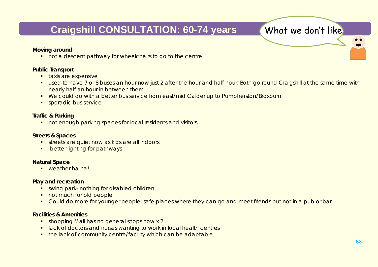## **Craigshill CONSULTATION: 60-74 years What we don't like**

#### **Moving around**

not a descent pathway for wheelchairs to go to the centre

#### **Public Transport**

- **taxis are expensive**
- used to have 7 or 8 buses an hour now just 2 after the hour and half hour. Both go round Craigshill at the same time with nearly half an hour in between them
- We could do with a better bus service from east/mid Calder up to Pumpherston/Broxburn.
- **sporadic bus service**

#### **Traffic & Parking**

**not enough parking spaces for local residents and visitors** 

#### **Streets & Spaces**

- streets are quiet now as kids are all indoors
- **•** better lighting for pathways

#### **Natural Space**

**•** weather ha ha!

#### **Play and recreation**

- **swing park- nothing for disabled children**
- not much for old people
- Could do more for younger people, safe places where they can go and meet friends but not in a pub or bar

#### **Facilities & Amenities**

- **shopping Mall has no general shops now x 2**
- **-** lack of doctors and nurses wanting to work in local health centres
- **the lack of community centre/facility which can be adaptable**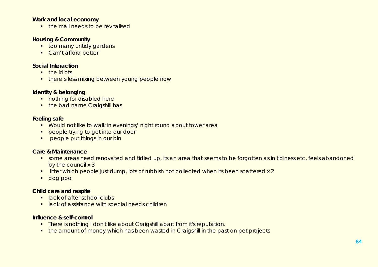#### **Work and local economy**

• the mall needs to be revitalised

#### **Housing & Community**

- **too many untidy gardens**
- Can't afford better

#### **Social Interaction**

- **n** the idiots
- **there's less mixing between young people now**

#### **Identity & belonging**

- **nothing for disabled here**
- the bad name Craigshill has

#### **Feeling safe**

- Would not like to walk in evenings/ night round about tower area
- **PEOPLE Trying to get into our door**
- **PEOPLE put things in our bin**

#### **Care & Maintenance**

- some areas need renovated and tidied up, its an area that seems to be forgotten as in tidiness etc, feels abandoned by the council x 3
- **I** litter which people just dump, lots of rubbish not collected when its been scattered x 2
- dog poo

#### **Child care and respite**

- **lack of after school clubs**
- **I** lack of assistance with special needs children

#### **Influence & self-control**

- **There is nothing I don't like about Craigshill apart from it's reputation.**
- **the amount of money which has been wasted in Craigshill in the past on pet projects**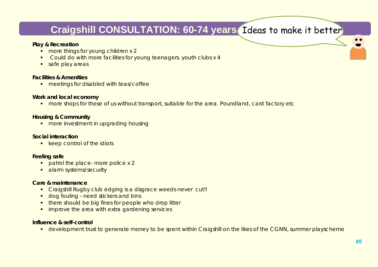## **Craigshill CONSULTATION: 60-74 years** Ideas to make it better

#### **Play & Recreation**

- **nore things for young children x 2**
- **Could do with more facilities for young teenagers, youth clubs x 4**
- safe play areas

#### **Facilities & Amenities**

**n** meetings for disabled with teas/coffee

#### **Work and local economy**

**nore shops for those of us without transport, suitable for the area. Poundland, card factory etc** 

#### **Housing & Community**

**nore investment in upgrading housing** 

#### **Social interaction**

**EXECTE EXECTE CONTROL Represents** 

#### **Feeling safe**

- patrol the place- more police x 2
- **alarm systems/security**

#### **Care & maintenance**

- Craigshill Rugby club edging is a disgrace weeds never cut!!
- dog fouling need stickers and bins
- **there should be big fines for people who drop litter**
- **improve the area with extra gardening services**

#### **Influence & self-control**

**•** development trust to generate money to be spent within Craigshill on the likes of the CGNN, summer playscheme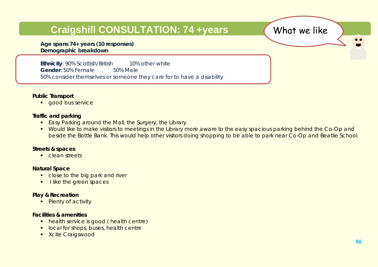### **Craigshill CONSULTATION: 74 +years What we like**

**Age spans 74+ years (10 responses) Demographic breakdown**

**Ethnicity**: 90% Scottish/British 10% other white **Gender**: 50% Female 50% Male 50% consider themselves or someone they care for to have a disability

#### **Public Transport**

**qood bus service** 

#### **Traffic and parking**

- **Easy Parking around the Mall, the Surgery, the Library.**
- Would like to make visitors to meetings in the Library more aware to the easy spacious parking behind the Co-Op and beside the Bottle Bank. This would help other visitors doing shopping to be able to park near Co-Op and Beatlie School.

#### **Streets & spaces**

**Clean streets** 

#### **Natural Space**

- close to the big park and river
- I like the green spaces

#### **Play & Recreation**

• Plenty of activity

#### **Facilities & amenities**

- **health service is good ( health centre)**
- **local for shops, buses, health centre**
- **EXcite Craigswood**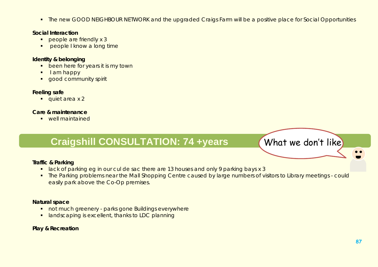**The new GOOD NEIGHBOUR NETWORK and the upgraded Craigs Farm will be a positive place for Social Opportunities** 

#### **Social Interaction**

- people are friendly x 3
- **PEOPLE I know a long time**

#### **Identity & belonging**

- **been here for years it is my town**
- $I$  am happy
- **qood community spirit**

#### **Feeling safe**

quiet area x 2

#### **Care & maintenance**

**•** well maintained

### **Craigshill CONSULTATION: 74 +years What we don't like**

#### **Traffic & Parking**

- **I** lack of parking eg in our cul de sac there are 13 houses and only 9 parking bays x 3
- **The Parking problems near the Mall Shopping Centre caused by large numbers of visitors to Library meetings could** easily park above the Co-Op premises.

#### **Natural space**

- **not much greenery parks gone Buildings everywhere**
- **I** landscaping is excellent, thanks to LDC planning

#### **Play & Recreation**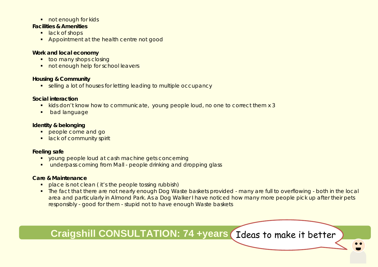#### not enough for kids

#### **Facilities & Amenities**

- lack of shops
- **Appointment at the health centre not good**

#### **Work and local economy**

- **too many shops closing**
- not enough help for school leavers

#### **Housing & Community**

**Example 2 selling a lot of houses for letting leading to multiple occupancy** 

#### **Social interaction**

- **Kids don't know how to communicate, young people loud, no one to correct them x 3**
- **•** bad language

#### **Identity & belonging**

- **people come and go**
- **If** lack of community spirit

#### **Feeling safe**

- **v** voung people loud at cash machine gets concerning
- underpass coming from Mall people drinking and dropping glass

#### **Care & Maintenance**

- **•** place is not clean (it's the people tossing rubbish)
- **The fact that there are not nearly enough Dog Waste baskets provided many are full to overflowing both in the local** area and particularly in Almond Park. As a Dog Walker I have noticed how many more people pick up after their pets responsibly - good for them - stupid not to have enough Waste baskets

**Craigshill CONSULTATION: 74 +years (Ideas to make it better**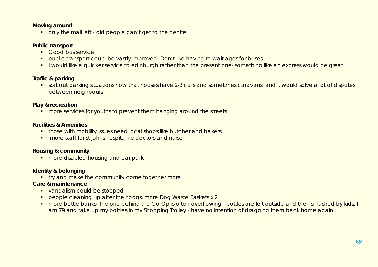#### **Moving around**

only the mall left - old people can't get to the centre

#### **Public transport**

- **Good bus service**
- **•** public transport could be vastly improved. Don't like having to wait ages for buses
- I would like a quicker service to edinburgh rather than the present one-something like an express would be great

#### **Traffic & parking**

**sort out parking situations now that houses have 2-3 cars and sometimes caravans; and it would solve a lot of disputes** between neighbours

#### **Play & recreation**

**n** more services for youths to prevent them hanging around the streets

#### **Facilities & Amenities**

- **those with mobility issues need local shops like butcher and bakers**
- **•** more staff for st johns hospital i.e doctors and nurse

#### **Housing & community**

**nore disabled housing and car park** 

### **Identity & belonging**

**try and make the community come together more** 

#### **Care & maintenance**

- vandalism could be stopped
- people cleaning up after their dogs, more Dog Waste Baskets x 2
- **number 10** and the one behind the Co-Op is often overflowing bottles are left outside and then smashed by kids. I am 79 and take up my bottles in my Shopping Trolley - have no intention of dragging them back home again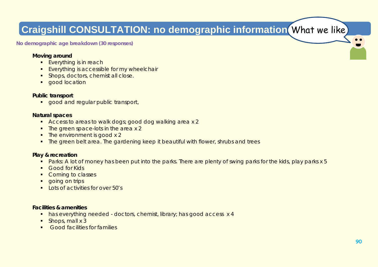# **Craigshill CONSULTATION: no demographic information** What we like

**No demographic age breakdown (30 responses)**

#### **Moving around**

- **Everything is in reach**
- **Everything is accessible for my wheelchair**
- **Shops, doctors, chemist all close.**
- **good location**

#### **Public transport**

qood and regular public transport,

#### **Natural spaces**

- Access to areas to walk dogs; good dog walking area x 2
- The green space-lots in the area x 2
- The environment is good x 2
- **The green belt area. The gardening keep it beautiful with flower, shrubs and trees**

#### **Play & recreation**

- **Parks: A lot of money has been put into the parks. There are plenty of swing parks for the kids, play parks x 5**
- **Good for Kids**
- Coming to classes
- **going on trips**
- $\blacksquare$  Lots of activities for over 50's

#### **Facilities & amenities**

- has everything needed doctors, chemist, library; has good access x 4
- $\blacksquare$  Shops, mall x 3
- **Good facilities for families**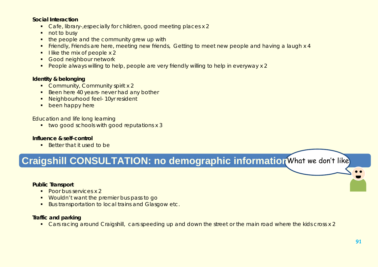#### **Social Interaction**

- Cafe, library-, especially for children, good meeting places x 2
- not to busy
- $\blacksquare$  the people and the community grew up with
- Friendly, Friends are here, meeting new friends, Getting to meet new people and having a laugh x 4
- $\blacksquare$  I like the mix of people x 2
- **Good neighbour network**
- **People always willing to help, people are very friendly willing to help in everyway x 2**

#### **Identity & belonging**

- Community, Community spirit x 2
- Been here 40 years- never had any bother
- **Neighbourhood feel- 10yr resident**
- **been happy here**

#### Education and life long learning

**t** two good schools with good reputations x 3

#### **Influence & self-control**

**Better that it used to be** 

## **Craigshill CONSULTATION: no demographic information** What we don't like

#### **Public Transport**

- Poor bus services x 2
- **Wouldn't want the premier bus pass to go**
- **Bus transportation to local trains and Glasgow etc.**

#### **Traffic and parking**

Cars racing around Craigshill, cars speeding up and down the street or the main road where the kids cross x 2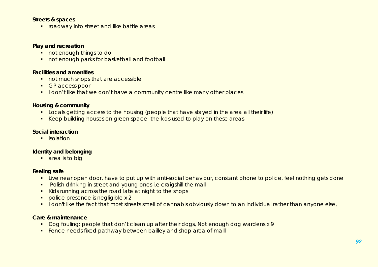#### **Streets & spaces**

**F** roadway into street and like battle areas

#### **Play and recreation**

- not enough things to do
- not enough parks for basketball and football

#### **Facilities and amenities**

- not much shops that are accessible
- **GP** access poor
- I don't like that we don't have a community centre like many other places

#### **Housing & community**

- **Locals getting access to the housing (people that have stayed in the area all their life)**
- Keep building houses on green space- the kids used to play on these areas

#### **Social interaction**

**I**solation

#### **Identity and belonging**

**area** is to big

#### **Feeling safe**

- **Live near open door, have to put up with anti-social behaviour, constant phone to police, feel nothing gets done**
- **Polish drinking in street and young ones i.e craigshill the mall**
- Kids running across the road late at night to the shops
- police presence is negligible x 2
- I don't like the fact that most streets smell of cannabis obviously down to an individual rather than anyone else,

#### **Care & maintenance**

- Dog fouling: people that don't clean up after their dogs, Not enough dog wardens x 9
- Fence needs fixed pathway between bailley and shop area of mall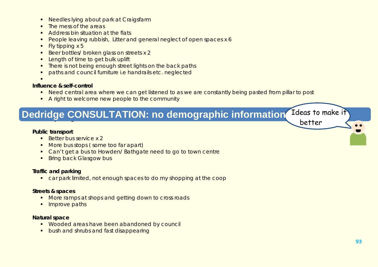- **Needles lying about park at Craigsfarm**
- The mess of the areas
- Address bin situation at the flats
- People leaving rubbish, Litter and general neglect of open spaces x 6
- $\blacksquare$  Fly tipping x 5
- Beer bottles/ broken glass on streets x 2
- **Length of time to get bulk uplift**
- **There is not being enough street lights on the back paths**
- paths and council furniture i.e handrails etc. neglected
- .

#### **Influence & self-control**

- Need central area where we can get listened to as we are constantly being pasted from pillar to post
- A right to welcome new people to the community

### **Trafficient Dedridge CONSULTATION: no demographic information Lideas To better**

#### **Public transport**

- Better bus service x 2
- More bus stops (some too far apart)
- Can't get a bus to Howden/ Bathgate need to go to town centre
- **Bring back Glasgow bus**

#### **Traffic and parking**

car park limited, not enough spaces to do my shopping at the coop

#### **Streets & spaces**

- More ramps at shops and getting down to cross roads
- **Improve paths**

#### **Natural space**

- **Wooded areas have been abandoned by council**
- **bush and shrubs and fast disappearing**

Ideas to make it